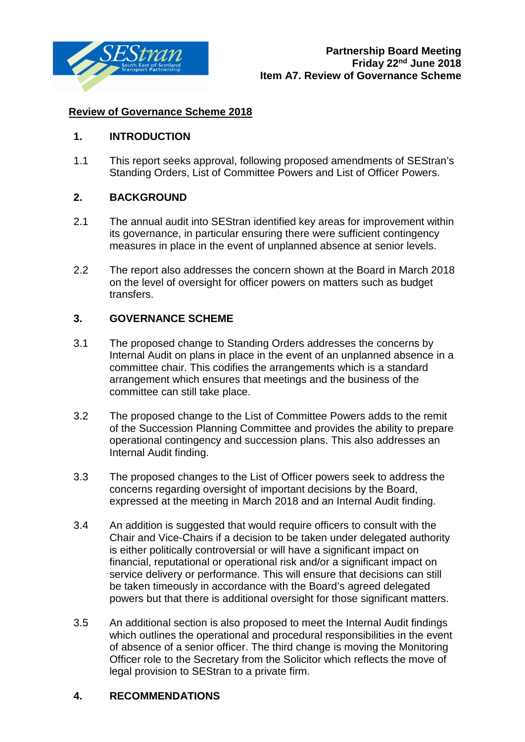

## **Review of Governance Scheme 2018**

## **1. INTRODUCTION**

1.1 This report seeks approval, following proposed amendments of SEStran's Standing Orders, List of Committee Powers and List of Officer Powers.

## **2. BACKGROUND**

- 2.1 The annual audit into SEStran identified key areas for improvement within its governance, in particular ensuring there were sufficient contingency measures in place in the event of unplanned absence at senior levels.
- 2.2 The report also addresses the concern shown at the Board in March 2018 on the level of oversight for officer powers on matters such as budget transfers.

## **3. GOVERNANCE SCHEME**

- 3.1 The proposed change to Standing Orders addresses the concerns by Internal Audit on plans in place in the event of an unplanned absence in a committee chair. This codifies the arrangements which is a standard arrangement which ensures that meetings and the business of the committee can still take place.
- 3.2 The proposed change to the List of Committee Powers adds to the remit of the Succession Planning Committee and provides the ability to prepare operational contingency and succession plans. This also addresses an Internal Audit finding.
- 3.3 The proposed changes to the List of Officer powers seek to address the concerns regarding oversight of important decisions by the Board, expressed at the meeting in March 2018 and an Internal Audit finding.
- 3.4 An addition is suggested that would require officers to consult with the Chair and Vice-Chairs if a decision to be taken under delegated authority is either politically controversial or will have a significant impact on financial, reputational or operational risk and/or a significant impact on service delivery or performance. This will ensure that decisions can still be taken timeously in accordance with the Board's agreed delegated powers but that there is additional oversight for those significant matters.
- 3.5 An additional section is also proposed to meet the Internal Audit findings which outlines the operational and procedural responsibilities in the event of absence of a senior officer. The third change is moving the Monitoring Officer role to the Secretary from the Solicitor which reflects the move of legal provision to SEStran to a private firm.

## **4. RECOMMENDATIONS**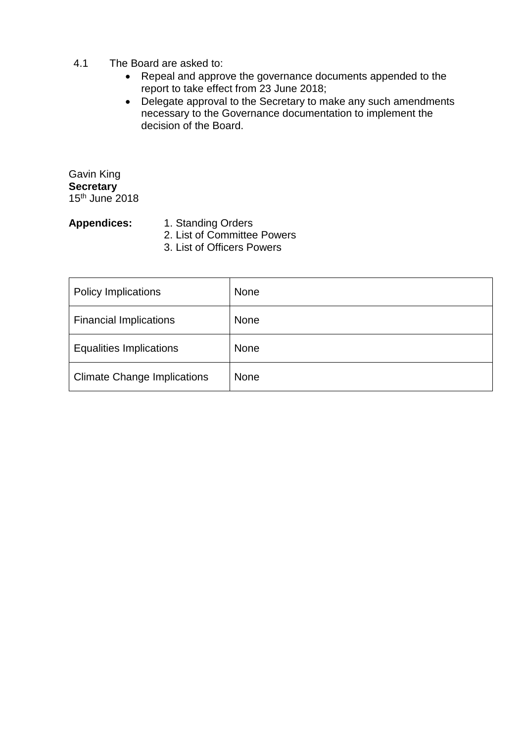#### 4.1 The Board are asked to:

- Repeal and approve the governance documents appended to the report to take effect from 23 June 2018;
- Delegate approval to the Secretary to make any such amendments necessary to the Governance documentation to implement the decision of the Board.

Gavin King **Secretary** 15th June 2018

- Appendices: 1. Standing Orders
	- 2. List of Committee Powers
	- 3. List of Officers Powers

| <b>Policy Implications</b>         | None        |
|------------------------------------|-------------|
| <b>Financial Implications</b>      | None        |
| <b>Equalities Implications</b>     | <b>None</b> |
| <b>Climate Change Implications</b> | <b>None</b> |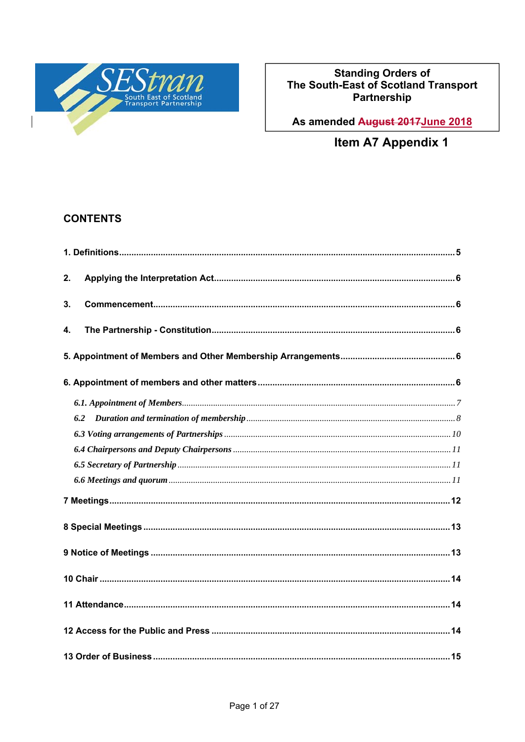

# Standing Orders of<br>The South-East of Scotland Transport<br>Partnership

As amended August 2017 June 2018

Item A7 Appendix 1

## **CONTENTS**

| 2.  |
|-----|
| 3.  |
| 4.  |
|     |
|     |
|     |
| 6.2 |
|     |
|     |
|     |
|     |
|     |
|     |
|     |
|     |
|     |
|     |
|     |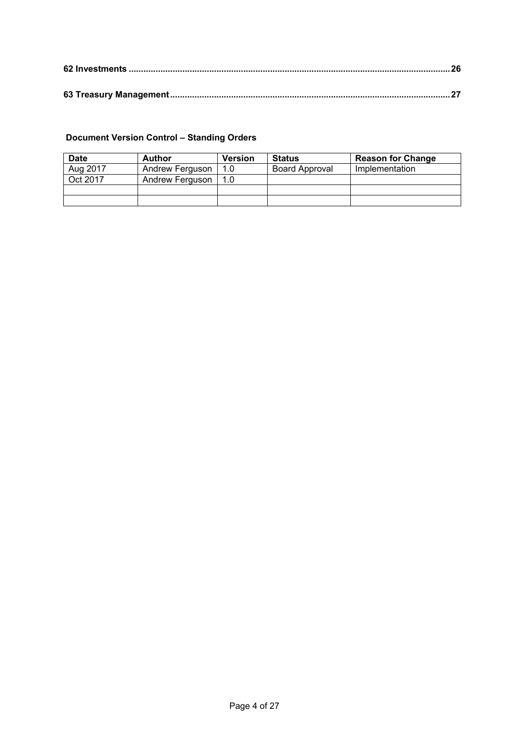## **Document Version Control – Standing Orders**

| <b>Date</b> | <b>Author</b>   | <b>Version</b> | <b>Status</b>         | <b>Reason for Change</b> |
|-------------|-----------------|----------------|-----------------------|--------------------------|
| Aug 2017    | Andrew Ferguson | 1.0            | <b>Board Approval</b> | Implementation           |
| Oct 2017    | Andrew Ferguson | 1.0            |                       |                          |
|             |                 |                |                       |                          |
|             |                 |                |                       |                          |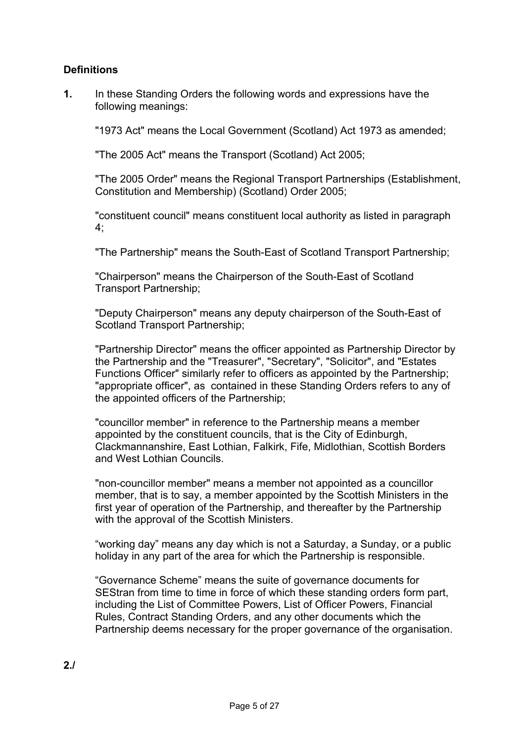## **Definitions**

**1.** In these Standing Orders the following words and expressions have the following meanings:

"1973 Act" means the Local Government (Scotland) Act 1973 as amended;

"The 2005 Act" means the Transport (Scotland) Act 2005;

 "The 2005 Order" means the Regional Transport Partnerships (Establishment, Constitution and Membership) (Scotland) Order 2005;

 "constituent council" means constituent local authority as listed in paragraph  $4$ :

"The Partnership" means the South-East of Scotland Transport Partnership;

 "Chairperson" means the Chairperson of the South-East of Scotland Transport Partnership;

 "Deputy Chairperson" means any deputy chairperson of the South-East of Scotland Transport Partnership;

 "Partnership Director" means the officer appointed as Partnership Director by the Partnership and the "Treasurer", "Secretary", "Solicitor", and "Estates Functions Officer" similarly refer to officers as appointed by the Partnership; "appropriate officer", as contained in these Standing Orders refers to any of the appointed officers of the Partnership;

 "councillor member" in reference to the Partnership means a member appointed by the constituent councils, that is the City of Edinburgh, Clackmannanshire, East Lothian, Falkirk, Fife, Midlothian, Scottish Borders and West Lothian Councils.

 "non-councillor member" means a member not appointed as a councillor member, that is to say, a member appointed by the Scottish Ministers in the first year of operation of the Partnership, and thereafter by the Partnership with the approval of the Scottish Ministers.

 "working day" means any day which is not a Saturday, a Sunday, or a public holiday in any part of the area for which the Partnership is responsible.

 "Governance Scheme" means the suite of governance documents for SEStran from time to time in force of which these standing orders form part, including the List of Committee Powers, List of Officer Powers, Financial Rules, Contract Standing Orders, and any other documents which the Partnership deems necessary for the proper governance of the organisation.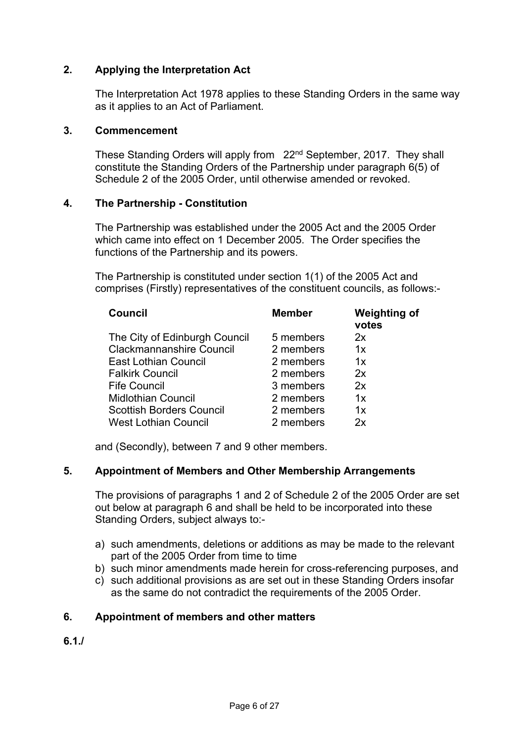## **2. Applying the Interpretation Act**

 The Interpretation Act 1978 applies to these Standing Orders in the same way as it applies to an Act of Parliament.

#### **3. Commencement**

 These Standing Orders will apply from 22nd September, 2017. They shall constitute the Standing Orders of the Partnership under paragraph 6(5) of Schedule 2 of the 2005 Order, until otherwise amended or revoked.

#### **4. The Partnership - Constitution**

 The Partnership was established under the 2005 Act and the 2005 Order which came into effect on 1 December 2005. The Order specifies the functions of the Partnership and its powers.

 The Partnership is constituted under section 1(1) of the 2005 Act and comprises (Firstly) representatives of the constituent councils, as follows:-

| <b>Council</b>                  | <b>Member</b> | <b>Weighting of</b><br>votes |
|---------------------------------|---------------|------------------------------|
| The City of Edinburgh Council   | 5 members     | 2x                           |
| <b>Clackmannanshire Council</b> | 2 members     | 1x                           |
| <b>East Lothian Council</b>     | 2 members     | 1x                           |
| <b>Falkirk Council</b>          | 2 members     | 2x                           |
| <b>Fife Council</b>             | 3 members     | 2x                           |
| <b>Midlothian Council</b>       | 2 members     | 1x                           |
| <b>Scottish Borders Council</b> | 2 members     | 1x                           |
| <b>West Lothian Council</b>     | 2 members     | 2x                           |

and (Secondly), between 7 and 9 other members.

#### **5. Appointment of Members and Other Membership Arrangements**

The provisions of paragraphs 1 and 2 of Schedule 2 of the 2005 Order are set out below at paragraph 6 and shall be held to be incorporated into these Standing Orders, subject always to:-

- a) such amendments, deletions or additions as may be made to the relevant part of the 2005 Order from time to time
- b) such minor amendments made herein for cross-referencing purposes, and
- c) such additional provisions as are set out in these Standing Orders insofar as the same do not contradict the requirements of the 2005 Order.

#### **6. Appointment of members and other matters**

**6.1./**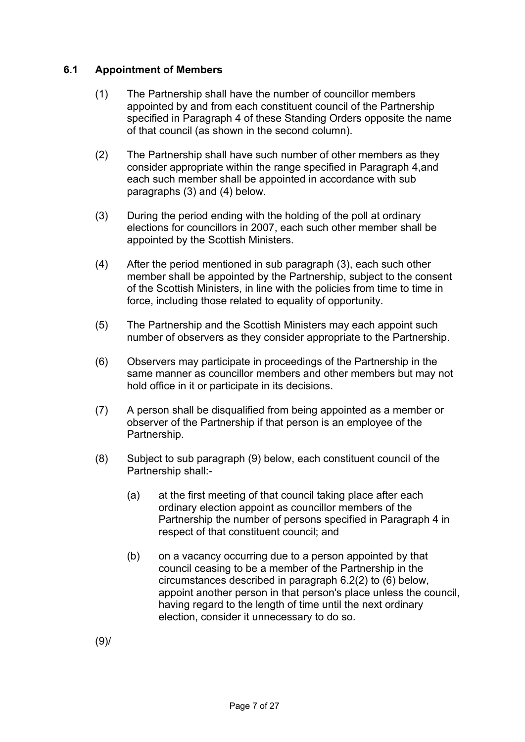## **6.1 Appointment of Members**

- (1) The Partnership shall have the number of councillor members appointed by and from each constituent council of the Partnership specified in Paragraph 4 of these Standing Orders opposite the name of that council (as shown in the second column).
- (2) The Partnership shall have such number of other members as they consider appropriate within the range specified in Paragraph 4,and each such member shall be appointed in accordance with sub paragraphs (3) and (4) below.
- (3) During the period ending with the holding of the poll at ordinary elections for councillors in 2007, each such other member shall be appointed by the Scottish Ministers.
- (4) After the period mentioned in sub paragraph (3), each such other member shall be appointed by the Partnership, subject to the consent of the Scottish Ministers, in line with the policies from time to time in force, including those related to equality of opportunity.
- (5) The Partnership and the Scottish Ministers may each appoint such number of observers as they consider appropriate to the Partnership.
- (6) Observers may participate in proceedings of the Partnership in the same manner as councillor members and other members but may not hold office in it or participate in its decisions.
- (7) A person shall be disqualified from being appointed as a member or observer of the Partnership if that person is an employee of the Partnership.
- (8) Subject to sub paragraph (9) below, each constituent council of the Partnership shall:-
	- (a) at the first meeting of that council taking place after each ordinary election appoint as councillor members of the Partnership the number of persons specified in Paragraph 4 in respect of that constituent council; and
	- (b) on a vacancy occurring due to a person appointed by that council ceasing to be a member of the Partnership in the circumstances described in paragraph 6.2(2) to (6) below, appoint another person in that person's place unless the council, having regard to the length of time until the next ordinary election, consider it unnecessary to do so.

(9)/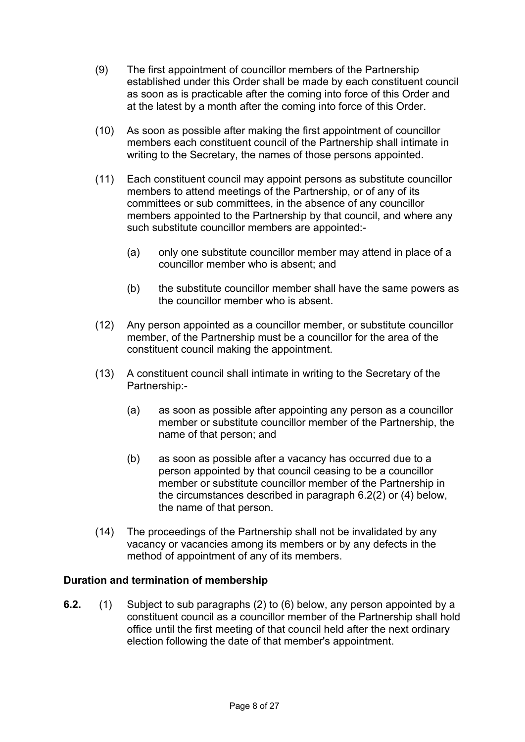- (9) The first appointment of councillor members of the Partnership established under this Order shall be made by each constituent council as soon as is practicable after the coming into force of this Order and at the latest by a month after the coming into force of this Order.
- (10) As soon as possible after making the first appointment of councillor members each constituent council of the Partnership shall intimate in writing to the Secretary, the names of those persons appointed.
- (11) Each constituent council may appoint persons as substitute councillor members to attend meetings of the Partnership, or of any of its committees or sub committees, in the absence of any councillor members appointed to the Partnership by that council, and where any such substitute councillor members are appointed:-
	- (a) only one substitute councillor member may attend in place of a councillor member who is absent; and
	- (b) the substitute councillor member shall have the same powers as the councillor member who is absent.
- (12) Any person appointed as a councillor member, or substitute councillor member, of the Partnership must be a councillor for the area of the constituent council making the appointment.
- (13) A constituent council shall intimate in writing to the Secretary of the Partnership:-
	- (a) as soon as possible after appointing any person as a councillor member or substitute councillor member of the Partnership, the name of that person; and
	- (b) as soon as possible after a vacancy has occurred due to a person appointed by that council ceasing to be a councillor member or substitute councillor member of the Partnership in the circumstances described in paragraph 6.2(2) or (4) below, the name of that person.
- (14) The proceedings of the Partnership shall not be invalidated by any vacancy or vacancies among its members or by any defects in the method of appointment of any of its members.

#### **Duration and termination of membership**

**6.2.** (1) Subject to sub paragraphs (2) to (6) below, any person appointed by a constituent council as a councillor member of the Partnership shall hold office until the first meeting of that council held after the next ordinary election following the date of that member's appointment.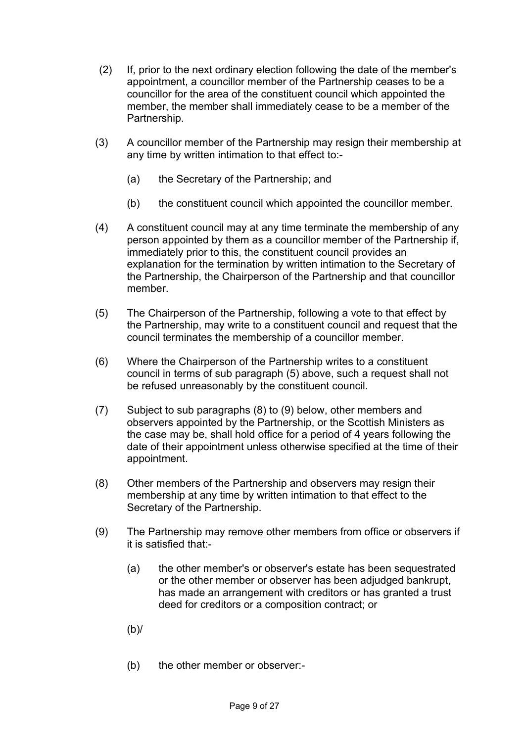- (2) If, prior to the next ordinary election following the date of the member's appointment, a councillor member of the Partnership ceases to be a councillor for the area of the constituent council which appointed the member, the member shall immediately cease to be a member of the Partnership.
- (3) A councillor member of the Partnership may resign their membership at any time by written intimation to that effect to:-
	- (a) the Secretary of the Partnership; and
	- (b) the constituent council which appointed the councillor member.
- (4) A constituent council may at any time terminate the membership of any person appointed by them as a councillor member of the Partnership if, immediately prior to this, the constituent council provides an explanation for the termination by written intimation to the Secretary of the Partnership, the Chairperson of the Partnership and that councillor member.
- (5) The Chairperson of the Partnership, following a vote to that effect by the Partnership, may write to a constituent council and request that the council terminates the membership of a councillor member.
- (6) Where the Chairperson of the Partnership writes to a constituent council in terms of sub paragraph (5) above, such a request shall not be refused unreasonably by the constituent council.
- (7) Subject to sub paragraphs (8) to (9) below, other members and observers appointed by the Partnership, or the Scottish Ministers as the case may be, shall hold office for a period of 4 years following the date of their appointment unless otherwise specified at the time of their appointment.
- (8) Other members of the Partnership and observers may resign their membership at any time by written intimation to that effect to the Secretary of the Partnership.
- (9) The Partnership may remove other members from office or observers if it is satisfied that:-
	- (a) the other member's or observer's estate has been sequestrated or the other member or observer has been adjudged bankrupt, has made an arrangement with creditors or has granted a trust deed for creditors or a composition contract; or
	- (b)/
	- (b) the other member or observer:-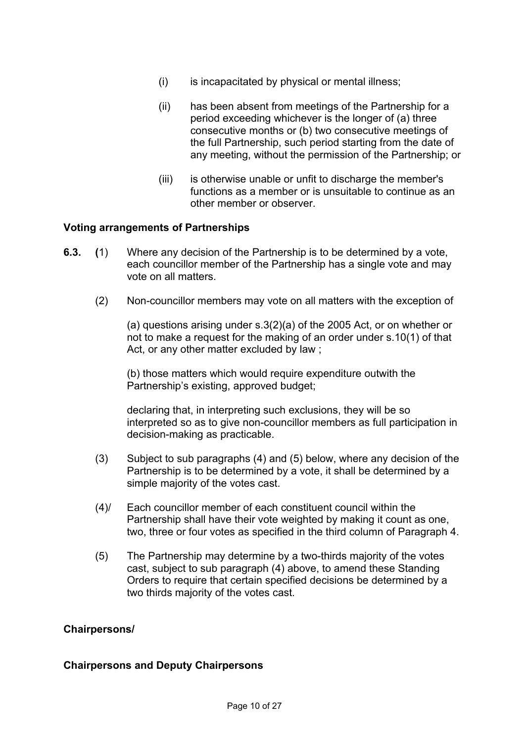- (i) is incapacitated by physical or mental illness;
- (ii) has been absent from meetings of the Partnership for a period exceeding whichever is the longer of (a) three consecutive months or (b) two consecutive meetings of the full Partnership, such period starting from the date of any meeting, without the permission of the Partnership; or
- (iii) is otherwise unable or unfit to discharge the member's functions as a member or is unsuitable to continue as an other member or observer.

#### **Voting arrangements of Partnerships**

- **6.3. (**1) Where any decision of the Partnership is to be determined by a vote, each councillor member of the Partnership has a single vote and may vote on all matters.
	- (2) Non-councillor members may vote on all matters with the exception of

(a) questions arising under s.3(2)(a) of the 2005 Act, or on whether or not to make a request for the making of an order under s.10(1) of that Act, or any other matter excluded by law ;

(b) those matters which would require expenditure outwith the Partnership's existing, approved budget;

 declaring that, in interpreting such exclusions, they will be so interpreted so as to give non-councillor members as full participation in decision-making as practicable.

- (3) Subject to sub paragraphs (4) and (5) below, where any decision of the Partnership is to be determined by a vote, it shall be determined by a simple majority of the votes cast.
- (4)/ Each councillor member of each constituent council within the Partnership shall have their vote weighted by making it count as one, two, three or four votes as specified in the third column of Paragraph 4.
- (5) The Partnership may determine by a two-thirds majority of the votes cast, subject to sub paragraph (4) above, to amend these Standing Orders to require that certain specified decisions be determined by a two thirds majority of the votes cast.

#### **Chairpersons/**

#### **Chairpersons and Deputy Chairpersons**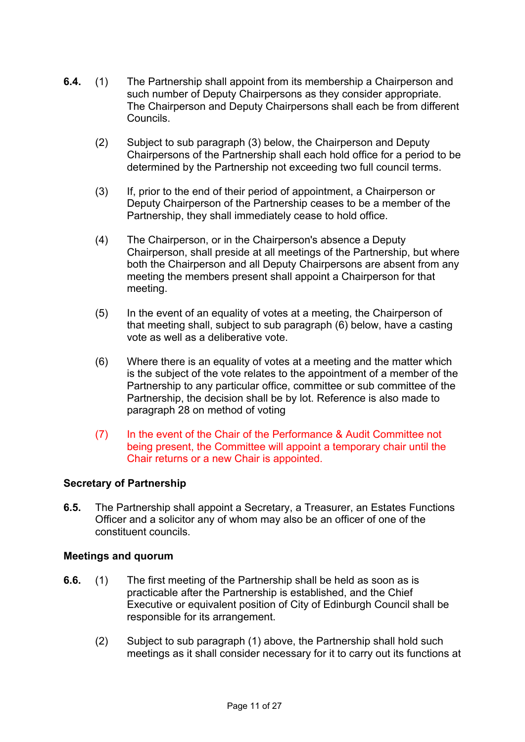- **6.4.** (1) The Partnership shall appoint from its membership a Chairperson and such number of Deputy Chairpersons as they consider appropriate. The Chairperson and Deputy Chairpersons shall each be from different Councils.
	- (2) Subject to sub paragraph (3) below, the Chairperson and Deputy Chairpersons of the Partnership shall each hold office for a period to be determined by the Partnership not exceeding two full council terms.
	- (3) If, prior to the end of their period of appointment, a Chairperson or Deputy Chairperson of the Partnership ceases to be a member of the Partnership, they shall immediately cease to hold office.
	- (4) The Chairperson, or in the Chairperson's absence a Deputy Chairperson, shall preside at all meetings of the Partnership, but where both the Chairperson and all Deputy Chairpersons are absent from any meeting the members present shall appoint a Chairperson for that meeting.
	- (5) In the event of an equality of votes at a meeting, the Chairperson of that meeting shall, subject to sub paragraph (6) below, have a casting vote as well as a deliberative vote.
	- (6) Where there is an equality of votes at a meeting and the matter which is the subject of the vote relates to the appointment of a member of the Partnership to any particular office, committee or sub committee of the Partnership, the decision shall be by lot. Reference is also made to paragraph 28 on method of voting
	- (7) In the event of the Chair of the Performance & Audit Committee not being present, the Committee will appoint a temporary chair until the Chair returns or a new Chair is appointed.

#### **Secretary of Partnership**

**6.5.** The Partnership shall appoint a Secretary, a Treasurer, an Estates Functions Officer and a solicitor any of whom may also be an officer of one of the constituent councils.

#### **Meetings and quorum**

- **6.6.** (1) The first meeting of the Partnership shall be held as soon as is practicable after the Partnership is established, and the Chief Executive or equivalent position of City of Edinburgh Council shall be responsible for its arrangement.
	- (2) Subject to sub paragraph (1) above, the Partnership shall hold such meetings as it shall consider necessary for it to carry out its functions at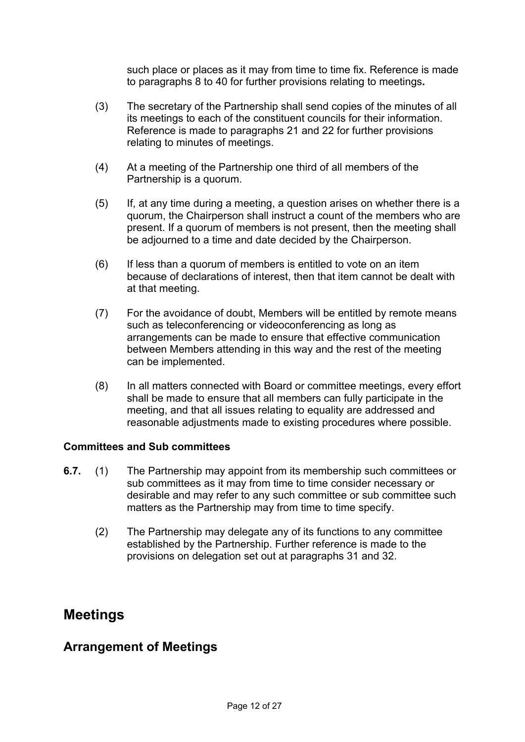such place or places as it may from time to time fix. Reference is made to paragraphs 8 to 40 for further provisions relating to meetings**.** 

- (3) The secretary of the Partnership shall send copies of the minutes of all its meetings to each of the constituent councils for their information. Reference is made to paragraphs 21 and 22 for further provisions relating to minutes of meetings.
- (4) At a meeting of the Partnership one third of all members of the Partnership is a quorum.
- (5) If, at any time during a meeting, a question arises on whether there is a quorum, the Chairperson shall instruct a count of the members who are present. If a quorum of members is not present, then the meeting shall be adjourned to a time and date decided by the Chairperson.
- (6) If less than a quorum of members is entitled to vote on an item because of declarations of interest, then that item cannot be dealt with at that meeting.
- (7) For the avoidance of doubt, Members will be entitled by remote means such as teleconferencing or videoconferencing as long as arrangements can be made to ensure that effective communication between Members attending in this way and the rest of the meeting can be implemented.
- (8) In all matters connected with Board or committee meetings, every effort shall be made to ensure that all members can fully participate in the meeting, and that all issues relating to equality are addressed and reasonable adjustments made to existing procedures where possible.

#### **Committees and Sub committees**

- **6.7.** (1) The Partnership may appoint from its membership such committees or sub committees as it may from time to time consider necessary or desirable and may refer to any such committee or sub committee such matters as the Partnership may from time to time specify.
	- (2) The Partnership may delegate any of its functions to any committee established by the Partnership. Further reference is made to the provisions on delegation set out at paragraphs 31 and 32.

# **Meetings**

# **Arrangement of Meetings**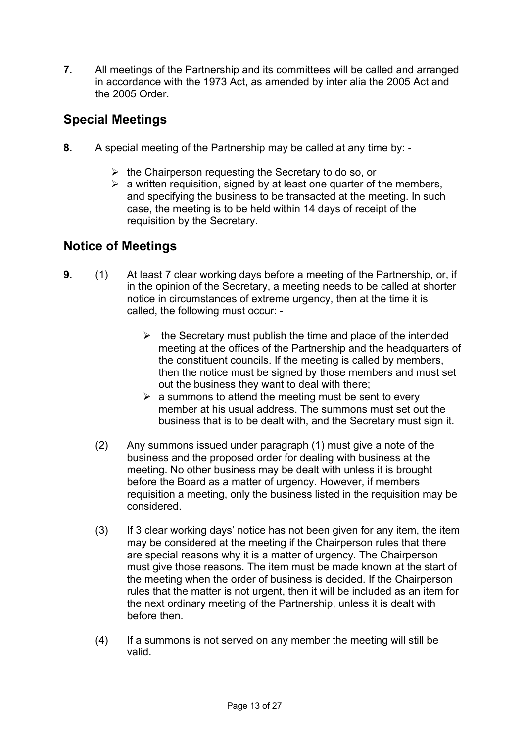**7.** All meetings of the Partnership and its committees will be called and arranged in accordance with the 1973 Act, as amended by inter alia the 2005 Act and the 2005 Order

# **Special Meetings**

- **8.** A special meeting of the Partnership may be called at any time by:
	- $\triangleright$  the Chairperson requesting the Secretary to do so, or
	- $\triangleright$  a written requisition, signed by at least one quarter of the members, and specifying the business to be transacted at the meeting. In such case, the meeting is to be held within 14 days of receipt of the requisition by the Secretary.

# **Notice of Meetings**

- **9.** (1) At least 7 clear working days before a meeting of the Partnership, or, if in the opinion of the Secretary, a meeting needs to be called at shorter notice in circumstances of extreme urgency, then at the time it is called, the following must occur: -
	- $\triangleright$  the Secretary must publish the time and place of the intended meeting at the offices of the Partnership and the headquarters of the constituent councils. If the meeting is called by members, then the notice must be signed by those members and must set out the business they want to deal with there;
	- $\triangleright$  a summons to attend the meeting must be sent to every member at his usual address. The summons must set out the business that is to be dealt with, and the Secretary must sign it.
	- (2) Any summons issued under paragraph (1) must give a note of the business and the proposed order for dealing with business at the meeting. No other business may be dealt with unless it is brought before the Board as a matter of urgency. However, if members requisition a meeting, only the business listed in the requisition may be considered.
	- (3) If 3 clear working days' notice has not been given for any item, the item may be considered at the meeting if the Chairperson rules that there are special reasons why it is a matter of urgency. The Chairperson must give those reasons. The item must be made known at the start of the meeting when the order of business is decided. If the Chairperson rules that the matter is not urgent, then it will be included as an item for the next ordinary meeting of the Partnership, unless it is dealt with before then.
	- (4) If a summons is not served on any member the meeting will still be valid.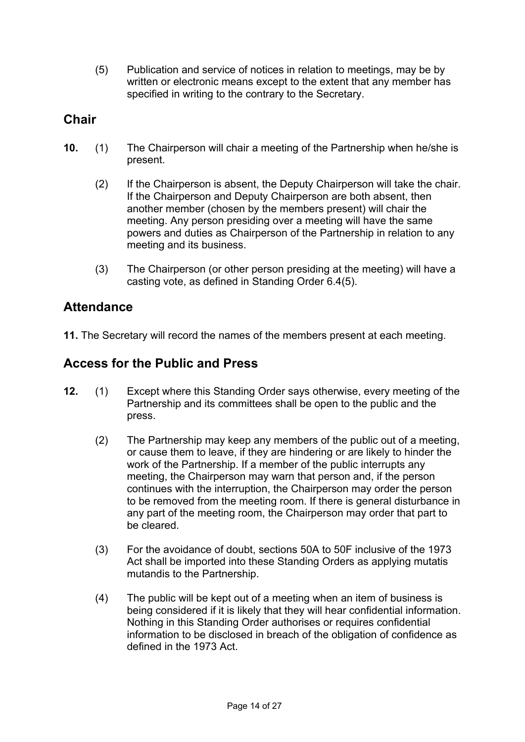(5) Publication and service of notices in relation to meetings, may be by written or electronic means except to the extent that any member has specified in writing to the contrary to the Secretary.

# **Chair**

- **10.** (1) The Chairperson will chair a meeting of the Partnership when he/she is present.
	- (2) If the Chairperson is absent, the Deputy Chairperson will take the chair. If the Chairperson and Deputy Chairperson are both absent, then another member (chosen by the members present) will chair the meeting. Any person presiding over a meeting will have the same powers and duties as Chairperson of the Partnership in relation to any meeting and its business.
	- (3) The Chairperson (or other person presiding at the meeting) will have a casting vote, as defined in Standing Order 6.4(5).

# **Attendance**

**11.** The Secretary will record the names of the members present at each meeting.

# **Access for the Public and Press**

- **12.** (1) Except where this Standing Order says otherwise, every meeting of the Partnership and its committees shall be open to the public and the press.
	- (2) The Partnership may keep any members of the public out of a meeting, or cause them to leave, if they are hindering or are likely to hinder the work of the Partnership. If a member of the public interrupts any meeting, the Chairperson may warn that person and, if the person continues with the interruption, the Chairperson may order the person to be removed from the meeting room. If there is general disturbance in any part of the meeting room, the Chairperson may order that part to be cleared.
	- (3) For the avoidance of doubt, sections 50A to 50F inclusive of the 1973 Act shall be imported into these Standing Orders as applying mutatis mutandis to the Partnership.
	- (4) The public will be kept out of a meeting when an item of business is being considered if it is likely that they will hear confidential information. Nothing in this Standing Order authorises or requires confidential information to be disclosed in breach of the obligation of confidence as defined in the 1973 Act.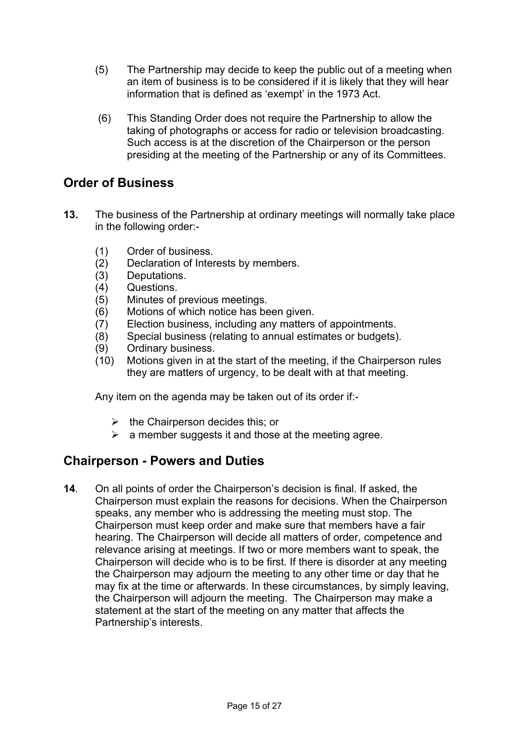- (5) The Partnership may decide to keep the public out of a meeting when an item of business is to be considered if it is likely that they will hear information that is defined as 'exempt' in the 1973 Act.
- (6) This Standing Order does not require the Partnership to allow the taking of photographs or access for radio or television broadcasting. Such access is at the discretion of the Chairperson or the person presiding at the meeting of the Partnership or any of its Committees.

## **Order of Business**

- **13.** The business of the Partnership at ordinary meetings will normally take place in the following order:-
	- (1) Order of business.
	- (2) Declaration of Interests by members.
	- (3) Deputations.
	- (4) Questions.
	- (5) Minutes of previous meetings.
	- (6) Motions of which notice has been given.
	- (7) Election business, including any matters of appointments.
	- (8) Special business (relating to annual estimates or budgets).
	- (9) Ordinary business.
	- (10) Motions given in at the start of the meeting, if the Chairperson rules they are matters of urgency, to be dealt with at that meeting.

Any item on the agenda may be taken out of its order if:-

- $\triangleright$  the Chairperson decides this; or
- $\triangleright$  a member suggests it and those at the meeting agree.

# **Chairperson - Powers and Duties**

**14**. On all points of order the Chairperson's decision is final. If asked, the Chairperson must explain the reasons for decisions. When the Chairperson speaks, any member who is addressing the meeting must stop. The Chairperson must keep order and make sure that members have a fair hearing. The Chairperson will decide all matters of order, competence and relevance arising at meetings. If two or more members want to speak, the Chairperson will decide who is to be first. If there is disorder at any meeting the Chairperson may adjourn the meeting to any other time or day that he may fix at the time or afterwards. In these circumstances, by simply leaving, the Chairperson will adjourn the meeting. The Chairperson may make a statement at the start of the meeting on any matter that affects the Partnership's interests.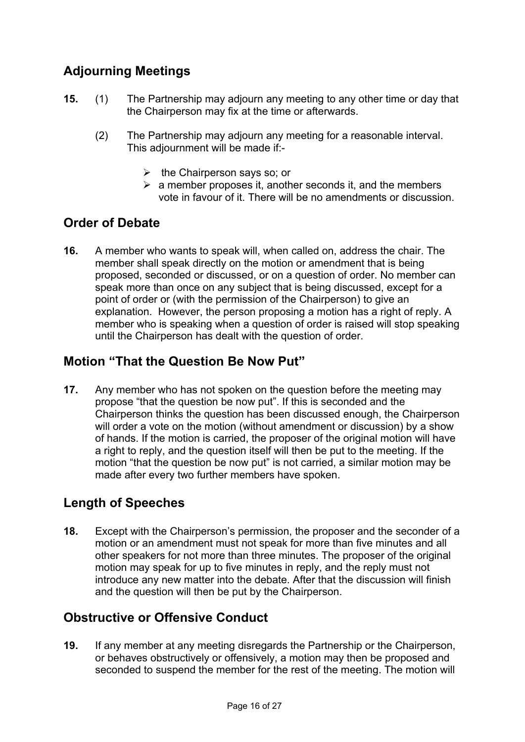# **Adjourning Meetings**

- **15.** (1) The Partnership may adjourn any meeting to any other time or day that the Chairperson may fix at the time or afterwards.
	- (2) The Partnership may adjourn any meeting for a reasonable interval. This adjournment will be made if:-
		- $\triangleright$  the Chairperson says so; or
		- $\triangleright$  a member proposes it, another seconds it, and the members vote in favour of it. There will be no amendments or discussion.

# **Order of Debate**

**16.** A member who wants to speak will, when called on, address the chair. The member shall speak directly on the motion or amendment that is being proposed, seconded or discussed, or on a question of order. No member can speak more than once on any subject that is being discussed, except for a point of order or (with the permission of the Chairperson) to give an explanation. However, the person proposing a motion has a right of reply. A member who is speaking when a question of order is raised will stop speaking until the Chairperson has dealt with the question of order.

# **Motion "That the Question Be Now Put"**

**17.** Any member who has not spoken on the question before the meeting may propose "that the question be now put". If this is seconded and the Chairperson thinks the question has been discussed enough, the Chairperson will order a vote on the motion (without amendment or discussion) by a show of hands. If the motion is carried, the proposer of the original motion will have a right to reply, and the question itself will then be put to the meeting. If the motion "that the question be now put" is not carried, a similar motion may be made after every two further members have spoken.

# **Length of Speeches**

**18.** Except with the Chairperson's permission, the proposer and the seconder of a motion or an amendment must not speak for more than five minutes and all other speakers for not more than three minutes. The proposer of the original motion may speak for up to five minutes in reply, and the reply must not introduce any new matter into the debate. After that the discussion will finish and the question will then be put by the Chairperson.

# **Obstructive or Offensive Conduct**

**19.** If any member at any meeting disregards the Partnership or the Chairperson, or behaves obstructively or offensively, a motion may then be proposed and seconded to suspend the member for the rest of the meeting. The motion will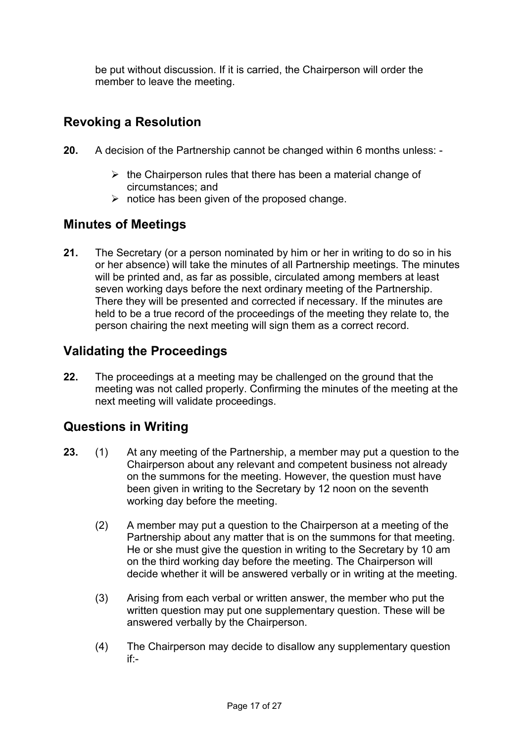be put without discussion. If it is carried, the Chairperson will order the member to leave the meeting.

# **Revoking a Resolution**

- **20.** A decision of the Partnership cannot be changed within 6 months unless:
	- $\triangleright$  the Chairperson rules that there has been a material change of circumstances; and
	- $\triangleright$  notice has been given of the proposed change.

# **Minutes of Meetings**

**21.** The Secretary (or a person nominated by him or her in writing to do so in his or her absence) will take the minutes of all Partnership meetings. The minutes will be printed and, as far as possible, circulated among members at least seven working days before the next ordinary meeting of the Partnership. There they will be presented and corrected if necessary. If the minutes are held to be a true record of the proceedings of the meeting they relate to, the person chairing the next meeting will sign them as a correct record.

# **Validating the Proceedings**

**22.** The proceedings at a meeting may be challenged on the ground that the meeting was not called properly. Confirming the minutes of the meeting at the next meeting will validate proceedings.

# **Questions in Writing**

- **23.** (1) At any meeting of the Partnership, a member may put a question to the Chairperson about any relevant and competent business not already on the summons for the meeting. However, the question must have been given in writing to the Secretary by 12 noon on the seventh working day before the meeting.
	- (2) A member may put a question to the Chairperson at a meeting of the Partnership about any matter that is on the summons for that meeting. He or she must give the question in writing to the Secretary by 10 am on the third working day before the meeting. The Chairperson will decide whether it will be answered verbally or in writing at the meeting.
	- (3) Arising from each verbal or written answer, the member who put the written question may put one supplementary question. These will be answered verbally by the Chairperson.
	- (4) The Chairperson may decide to disallow any supplementary question if:-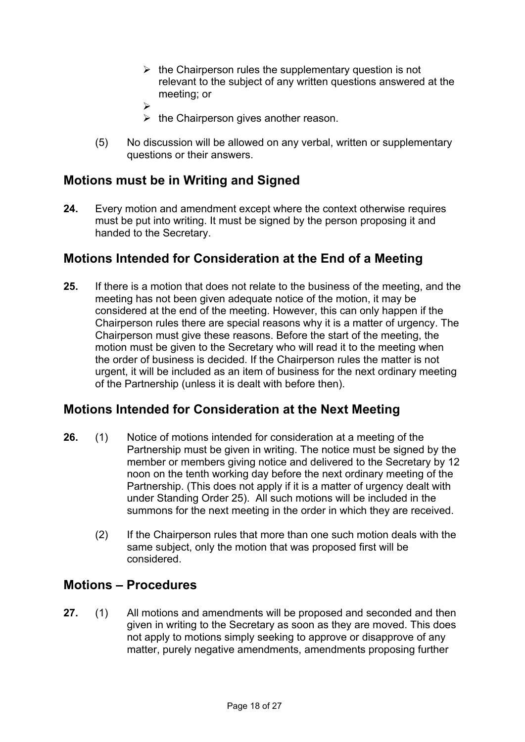- $\triangleright$  the Chairperson rules the supplementary question is not relevant to the subject of any written questions answered at the meeting; or
- $\blacktriangleright$
- $\triangleright$  the Chairperson gives another reason.
- (5) No discussion will be allowed on any verbal, written or supplementary questions or their answers.

# **Motions must be in Writing and Signed**

**24.** Every motion and amendment except where the context otherwise requires must be put into writing. It must be signed by the person proposing it and handed to the Secretary.

# **Motions Intended for Consideration at the End of a Meeting**

**25.** If there is a motion that does not relate to the business of the meeting, and the meeting has not been given adequate notice of the motion, it may be considered at the end of the meeting. However, this can only happen if the Chairperson rules there are special reasons why it is a matter of urgency. The Chairperson must give these reasons. Before the start of the meeting, the motion must be given to the Secretary who will read it to the meeting when the order of business is decided. If the Chairperson rules the matter is not urgent, it will be included as an item of business for the next ordinary meeting of the Partnership (unless it is dealt with before then).

# **Motions Intended for Consideration at the Next Meeting**

- **26.** (1) Notice of motions intended for consideration at a meeting of the Partnership must be given in writing. The notice must be signed by the member or members giving notice and delivered to the Secretary by 12 noon on the tenth working day before the next ordinary meeting of the Partnership. (This does not apply if it is a matter of urgency dealt with under Standing Order 25). All such motions will be included in the summons for the next meeting in the order in which they are received.
	- (2) If the Chairperson rules that more than one such motion deals with the same subject, only the motion that was proposed first will be considered.

# **Motions – Procedures**

**27.** (1) All motions and amendments will be proposed and seconded and then given in writing to the Secretary as soon as they are moved. This does not apply to motions simply seeking to approve or disapprove of any matter, purely negative amendments, amendments proposing further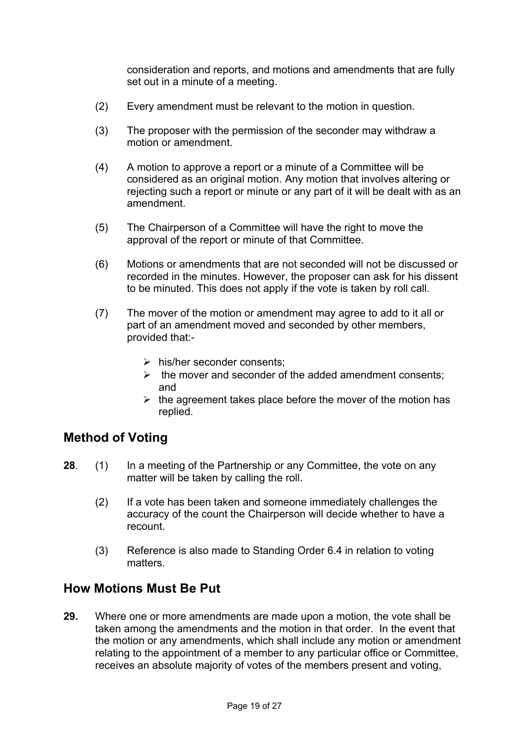consideration and reports, and motions and amendments that are fully set out in a minute of a meeting.

- (2) Every amendment must be relevant to the motion in question.
- (3) The proposer with the permission of the seconder may withdraw a motion or amendment.
- (4) A motion to approve a report or a minute of a Committee will be considered as an original motion. Any motion that involves altering or rejecting such a report or minute or any part of it will be dealt with as an amendment.
- (5) The Chairperson of a Committee will have the right to move the approval of the report or minute of that Committee.
- (6) Motions or amendments that are not seconded will not be discussed or recorded in the minutes. However, the proposer can ask for his dissent to be minuted. This does not apply if the vote is taken by roll call.
- (7) The mover of the motion or amendment may agree to add to it all or part of an amendment moved and seconded by other members, provided that:-
	- $\triangleright$  his/her seconder consents:
	- $\triangleright$  the mover and seconder of the added amendment consents; and
	- $\triangleright$  the agreement takes place before the mover of the motion has replied.

# **Method of Voting**

- **28**. (1) In a meeting of the Partnership or any Committee, the vote on any matter will be taken by calling the roll.
	- (2) If a vote has been taken and someone immediately challenges the accuracy of the count the Chairperson will decide whether to have a recount.
	- (3) Reference is also made to Standing Order 6.4 in relation to voting matters.

## **How Motions Must Be Put**

**29.** Where one or more amendments are made upon a motion, the vote shall be taken among the amendments and the motion in that order. In the event that the motion or any amendments, which shall include any motion or amendment relating to the appointment of a member to any particular office or Committee, receives an absolute majority of votes of the members present and voting,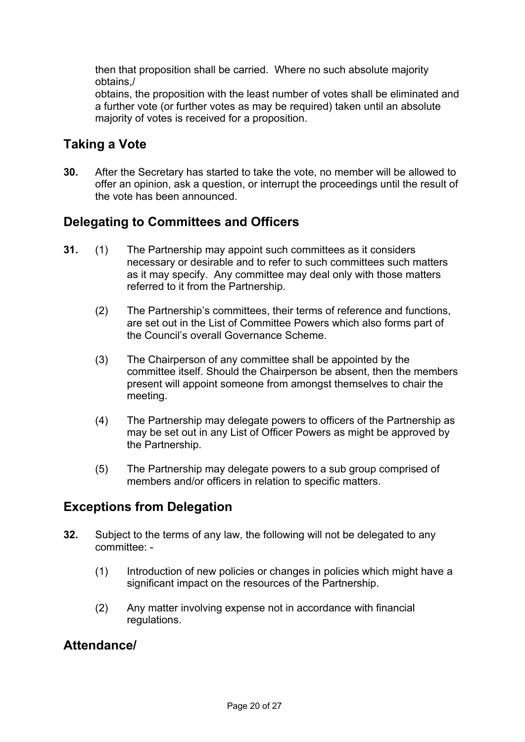then that proposition shall be carried. Where no such absolute majority obtains,/

obtains, the proposition with the least number of votes shall be eliminated and a further vote (or further votes as may be required) taken until an absolute majority of votes is received for a proposition.

# **Taking a Vote**

**30.** After the Secretary has started to take the vote, no member will be allowed to offer an opinion, ask a question, or interrupt the proceedings until the result of the vote has been announced.

# **Delegating to Committees and Officers**

- **31.** (1) The Partnership may appoint such committees as it considers necessary or desirable and to refer to such committees such matters as it may specify. Any committee may deal only with those matters referred to it from the Partnership.
	- (2) The Partnership's committees, their terms of reference and functions, are set out in the List of Committee Powers which also forms part of the Council's overall Governance Scheme.
	- (3) The Chairperson of any committee shall be appointed by the committee itself. Should the Chairperson be absent, then the members present will appoint someone from amongst themselves to chair the meeting.
	- (4) The Partnership may delegate powers to officers of the Partnership as may be set out in any List of Officer Powers as might be approved by the Partnership.
	- (5) The Partnership may delegate powers to a sub group comprised of members and/or officers in relation to specific matters.

# **Exceptions from Delegation**

- **32.** Subject to the terms of any law, the following will not be delegated to any committee: -
	- (1) Introduction of new policies or changes in policies which might have a significant impact on the resources of the Partnership.
	- (2) Any matter involving expense not in accordance with financial regulations.

## **Attendance/**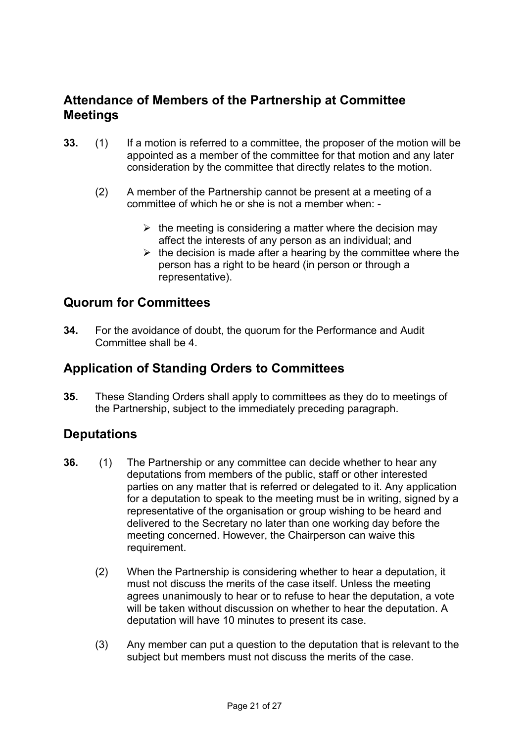# **Attendance of Members of the Partnership at Committee Meetings**

- **33.** (1) If a motion is referred to a committee, the proposer of the motion will be appointed as a member of the committee for that motion and any later consideration by the committee that directly relates to the motion.
	- (2) A member of the Partnership cannot be present at a meeting of a committee of which he or she is not a member when: -
		- $\triangleright$  the meeting is considering a matter where the decision may affect the interests of any person as an individual; and
		- $\triangleright$  the decision is made after a hearing by the committee where the person has a right to be heard (in person or through a representative).

# **Quorum for Committees**

**34.** For the avoidance of doubt, the quorum for the Performance and Audit Committee shall be 4.

# **Application of Standing Orders to Committees**

**35.** These Standing Orders shall apply to committees as they do to meetings of the Partnership, subject to the immediately preceding paragraph.

## **Deputations**

- **36.** (1) The Partnership or any committee can decide whether to hear any deputations from members of the public, staff or other interested parties on any matter that is referred or delegated to it. Any application for a deputation to speak to the meeting must be in writing, signed by a representative of the organisation or group wishing to be heard and delivered to the Secretary no later than one working day before the meeting concerned. However, the Chairperson can waive this requirement.
	- (2) When the Partnership is considering whether to hear a deputation, it must not discuss the merits of the case itself. Unless the meeting agrees unanimously to hear or to refuse to hear the deputation, a vote will be taken without discussion on whether to hear the deputation. A deputation will have 10 minutes to present its case.
	- (3) Any member can put a question to the deputation that is relevant to the subject but members must not discuss the merits of the case.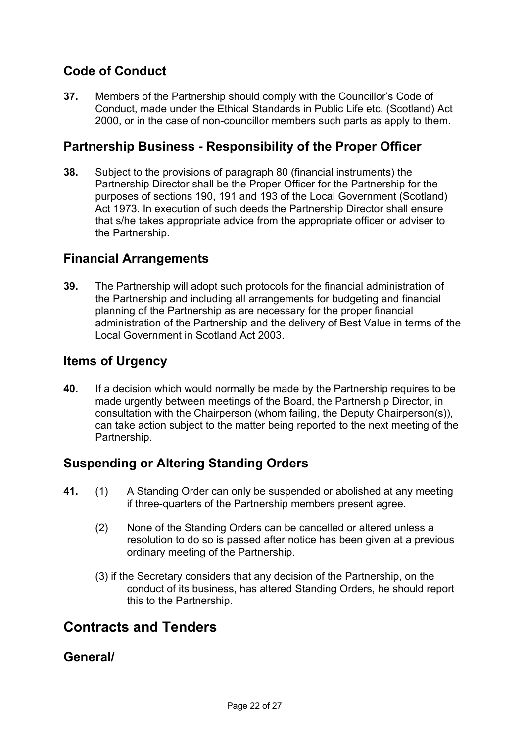# **Code of Conduct**

**37.** Members of the Partnership should comply with the Councillor's Code of Conduct, made under the Ethical Standards in Public Life etc. (Scotland) Act 2000, or in the case of non-councillor members such parts as apply to them.

# **Partnership Business - Responsibility of the Proper Officer**

**38.** Subject to the provisions of paragraph 80 (financial instruments) the Partnership Director shall be the Proper Officer for the Partnership for the purposes of sections 190, 191 and 193 of the Local Government (Scotland) Act 1973. In execution of such deeds the Partnership Director shall ensure that s/he takes appropriate advice from the appropriate officer or adviser to the Partnership.

# **Financial Arrangements**

**39.** The Partnership will adopt such protocols for the financial administration of the Partnership and including all arrangements for budgeting and financial planning of the Partnership as are necessary for the proper financial administration of the Partnership and the delivery of Best Value in terms of the Local Government in Scotland Act 2003.

# **Items of Urgency**

**40.** If a decision which would normally be made by the Partnership requires to be made urgently between meetings of the Board, the Partnership Director, in consultation with the Chairperson (whom failing, the Deputy Chairperson(s)), can take action subject to the matter being reported to the next meeting of the Partnership.

# **Suspending or Altering Standing Orders**

- **41.** (1) A Standing Order can only be suspended or abolished at any meeting if three-quarters of the Partnership members present agree.
	- (2) None of the Standing Orders can be cancelled or altered unless a resolution to do so is passed after notice has been given at a previous ordinary meeting of the Partnership.
	- (3) if the Secretary considers that any decision of the Partnership, on the conduct of its business, has altered Standing Orders, he should report this to the Partnership.

# **Contracts and Tenders**

## **General/**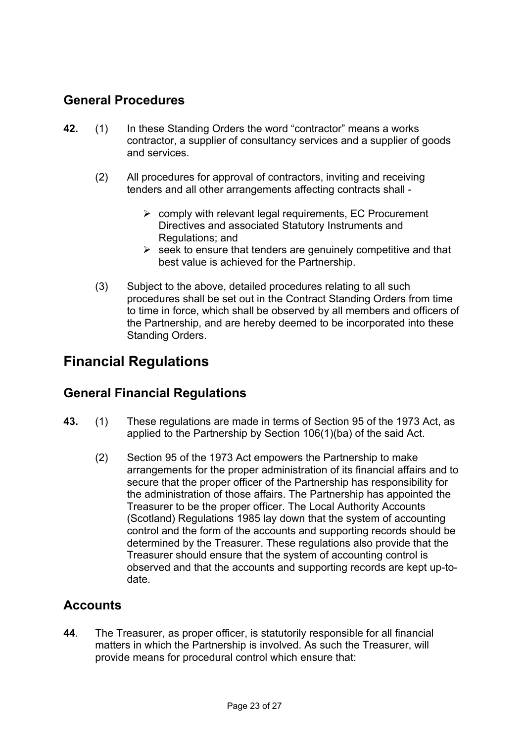# **General Procedures**

- **42.** (1) In these Standing Orders the word "contractor" means a works contractor, a supplier of consultancy services and a supplier of goods and services.
	- (2) All procedures for approval of contractors, inviting and receiving tenders and all other arrangements affecting contracts shall -
		- $\triangleright$  comply with relevant legal requirements, EC Procurement Directives and associated Statutory Instruments and Regulations; and
		- $\triangleright$  seek to ensure that tenders are genuinely competitive and that best value is achieved for the Partnership.
	- (3) Subject to the above, detailed procedures relating to all such procedures shall be set out in the Contract Standing Orders from time to time in force, which shall be observed by all members and officers of the Partnership, and are hereby deemed to be incorporated into these Standing Orders.

# **Financial Regulations**

# **General Financial Regulations**

- **43.** (1) These regulations are made in terms of Section 95 of the 1973 Act, as applied to the Partnership by Section 106(1)(ba) of the said Act.
	- (2) Section 95 of the 1973 Act empowers the Partnership to make arrangements for the proper administration of its financial affairs and to secure that the proper officer of the Partnership has responsibility for the administration of those affairs. The Partnership has appointed the Treasurer to be the proper officer. The Local Authority Accounts (Scotland) Regulations 1985 lay down that the system of accounting control and the form of the accounts and supporting records should be determined by the Treasurer. These regulations also provide that the Treasurer should ensure that the system of accounting control is observed and that the accounts and supporting records are kept up-todate.

# **Accounts**

**44**. The Treasurer, as proper officer, is statutorily responsible for all financial matters in which the Partnership is involved. As such the Treasurer, will provide means for procedural control which ensure that: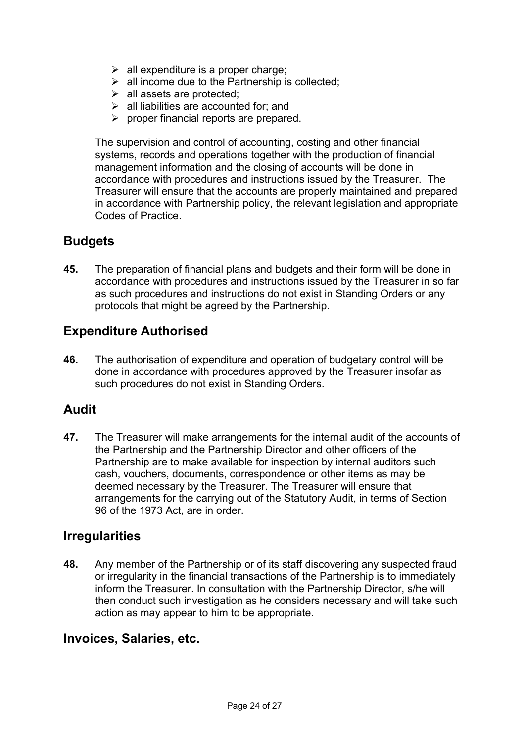- $\triangleright$  all expenditure is a proper charge;
- $\triangleright$  all income due to the Partnership is collected;
- $\triangleright$  all assets are protected:
- $\triangleright$  all liabilities are accounted for; and
- $\triangleright$  proper financial reports are prepared.

 The supervision and control of accounting, costing and other financial systems, records and operations together with the production of financial management information and the closing of accounts will be done in accordance with procedures and instructions issued by the Treasurer. The Treasurer will ensure that the accounts are properly maintained and prepared in accordance with Partnership policy, the relevant legislation and appropriate Codes of Practice.

# **Budgets**

**45.** The preparation of financial plans and budgets and their form will be done in accordance with procedures and instructions issued by the Treasurer in so far as such procedures and instructions do not exist in Standing Orders or any protocols that might be agreed by the Partnership.

# **Expenditure Authorised**

**46.** The authorisation of expenditure and operation of budgetary control will be done in accordance with procedures approved by the Treasurer insofar as such procedures do not exist in Standing Orders.

# **Audit**

**47.** The Treasurer will make arrangements for the internal audit of the accounts of the Partnership and the Partnership Director and other officers of the Partnership are to make available for inspection by internal auditors such cash, vouchers, documents, correspondence or other items as may be deemed necessary by the Treasurer. The Treasurer will ensure that arrangements for the carrying out of the Statutory Audit, in terms of Section 96 of the 1973 Act, are in order.

## **Irregularities**

**48.** Any member of the Partnership or of its staff discovering any suspected fraud or irregularity in the financial transactions of the Partnership is to immediately inform the Treasurer. In consultation with the Partnership Director, s/he will then conduct such investigation as he considers necessary and will take such action as may appear to him to be appropriate.

## **Invoices, Salaries, etc.**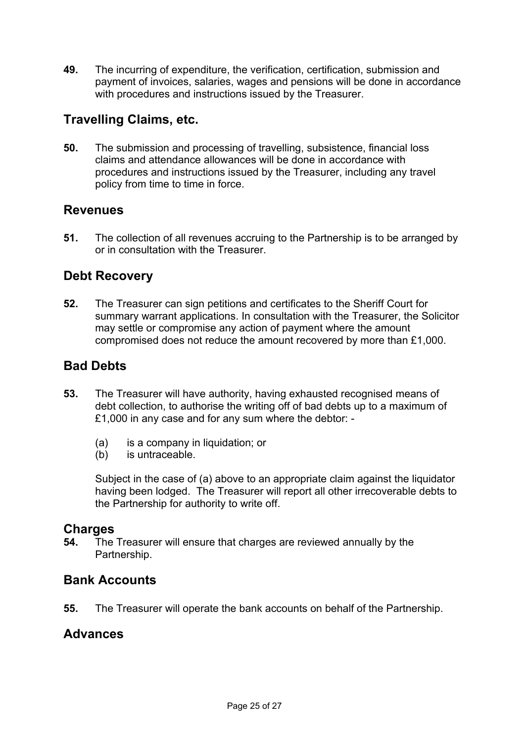**49.** The incurring of expenditure, the verification, certification, submission and payment of invoices, salaries, wages and pensions will be done in accordance with procedures and instructions issued by the Treasurer.

# **Travelling Claims, etc.**

**50.** The submission and processing of travelling, subsistence, financial loss claims and attendance allowances will be done in accordance with procedures and instructions issued by the Treasurer, including any travel policy from time to time in force.

# **Revenues**

**51.** The collection of all revenues accruing to the Partnership is to be arranged by or in consultation with the Treasurer.

# **Debt Recovery**

**52.** The Treasurer can sign petitions and certificates to the Sheriff Court for summary warrant applications. In consultation with the Treasurer, the Solicitor may settle or compromise any action of payment where the amount compromised does not reduce the amount recovered by more than £1,000.

# **Bad Debts**

- **53.** The Treasurer will have authority, having exhausted recognised means of debt collection, to authorise the writing off of bad debts up to a maximum of £1,000 in any case and for any sum where the debtor: -
	- (a) is a company in liquidation; or
	- (b) is untraceable.

Subject in the case of (a) above to an appropriate claim against the liquidator having been lodged. The Treasurer will report all other irrecoverable debts to the Partnership for authority to write off.

## **Charges**

**54.** The Treasurer will ensure that charges are reviewed annually by the Partnership.

## **Bank Accounts**

**55.** The Treasurer will operate the bank accounts on behalf of the Partnership.

## **Advances**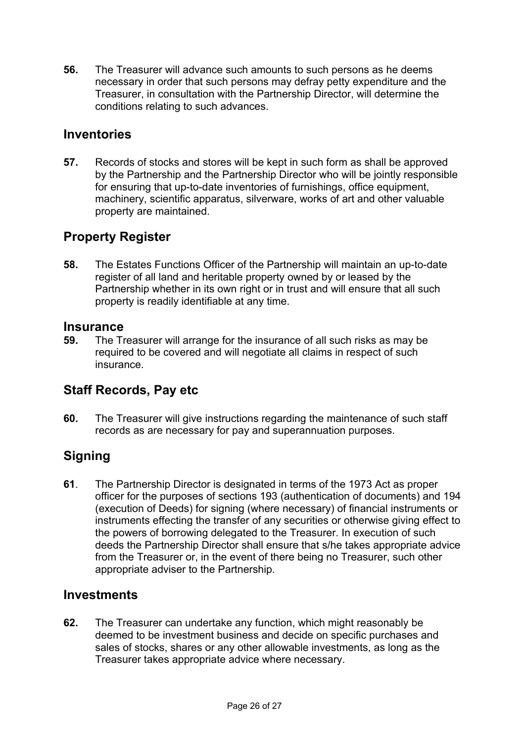**56.** The Treasurer will advance such amounts to such persons as he deems necessary in order that such persons may defray petty expenditure and the Treasurer, in consultation with the Partnership Director, will determine the conditions relating to such advances.

# **Inventories**

**57.** Records of stocks and stores will be kept in such form as shall be approved by the Partnership and the Partnership Director who will be jointly responsible for ensuring that up-to-date inventories of furnishings, office equipment, machinery, scientific apparatus, silverware, works of art and other valuable property are maintained.

# **Property Register**

**58.** The Estates Functions Officer of the Partnership will maintain an up-to-date register of all land and heritable property owned by or leased by the Partnership whether in its own right or in trust and will ensure that all such property is readily identifiable at any time.

## **Insurance**

**59.** The Treasurer will arrange for the insurance of all such risks as may be required to be covered and will negotiate all claims in respect of such insurance.

# **Staff Records, Pay etc**

**60.** The Treasurer will give instructions regarding the maintenance of such staff records as are necessary for pay and superannuation purposes.

# **Signing**

**61**. The Partnership Director is designated in terms of the 1973 Act as proper officer for the purposes of sections 193 (authentication of documents) and 194 (execution of Deeds) for signing (where necessary) of financial instruments or instruments effecting the transfer of any securities or otherwise giving effect to the powers of borrowing delegated to the Treasurer. In execution of such deeds the Partnership Director shall ensure that s/he takes appropriate advice from the Treasurer or, in the event of there being no Treasurer, such other appropriate adviser to the Partnership.

## **Investments**

**62.** The Treasurer can undertake any function, which might reasonably be deemed to be investment business and decide on specific purchases and sales of stocks, shares or any other allowable investments, as long as the Treasurer takes appropriate advice where necessary.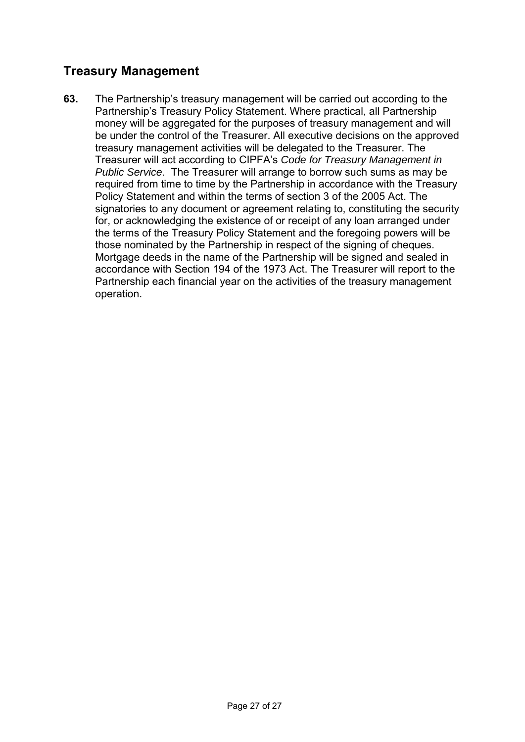# **Treasury Management**

**63.** The Partnership's treasury management will be carried out according to the Partnership's Treasury Policy Statement. Where practical, all Partnership money will be aggregated for the purposes of treasury management and will be under the control of the Treasurer. All executive decisions on the approved treasury management activities will be delegated to the Treasurer. The Treasurer will act according to CIPFA's *Code for Treasury Management in Public Service*. The Treasurer will arrange to borrow such sums as may be required from time to time by the Partnership in accordance with the Treasury Policy Statement and within the terms of section 3 of the 2005 Act. The signatories to any document or agreement relating to, constituting the security for, or acknowledging the existence of or receipt of any loan arranged under the terms of the Treasury Policy Statement and the foregoing powers will be those nominated by the Partnership in respect of the signing of cheques. Mortgage deeds in the name of the Partnership will be signed and sealed in accordance with Section 194 of the 1973 Act. The Treasurer will report to the Partnership each financial year on the activities of the treasury management operation.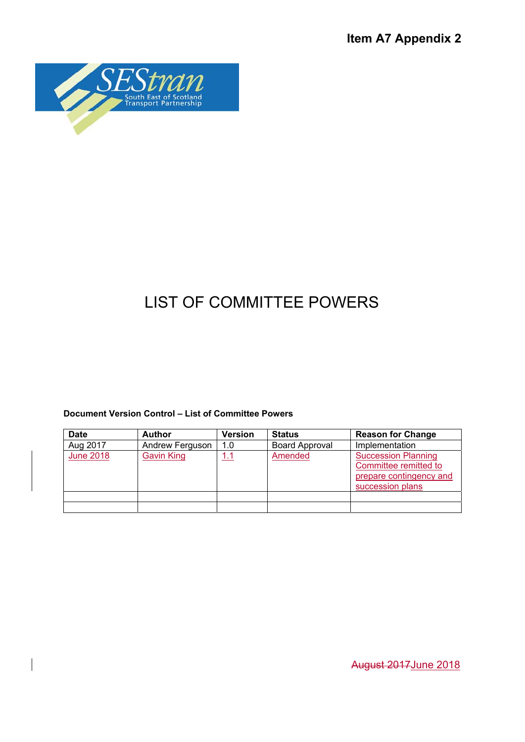**Item A7 Appendix 2** 



# LIST OF COMMITTEE POWERS

#### **Document Version Control – List of Committee Powers**

| <b>Date</b>      | <b>Author</b>     | Version | <b>Status</b>         | <b>Reason for Change</b>                                                                           |
|------------------|-------------------|---------|-----------------------|----------------------------------------------------------------------------------------------------|
| Aug 2017         | Andrew Ferguson   | 1.0     | <b>Board Approval</b> | Implementation                                                                                     |
| <b>June 2018</b> | <b>Gavin King</b> | 1.1     | Amended               | <b>Succession Planning</b><br>Committee remitted to<br>prepare contingency and<br>succession plans |
|                  |                   |         |                       |                                                                                                    |
|                  |                   |         |                       |                                                                                                    |

August 2017June 2018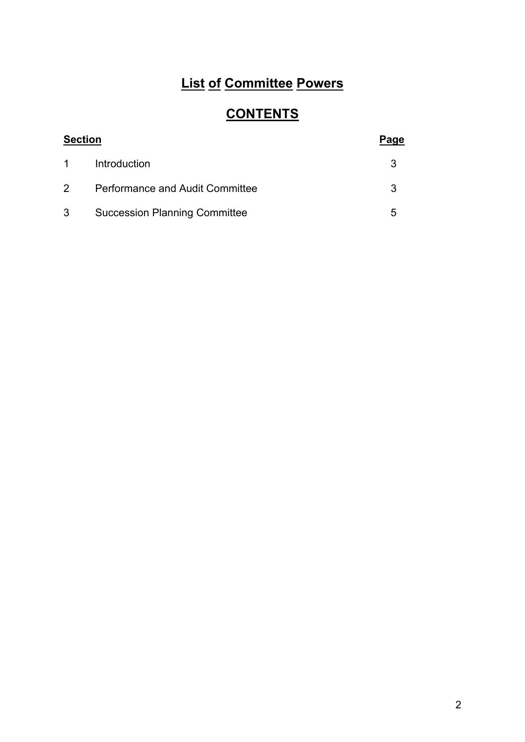# **List of Committee Powers**

# **CONTENTS**

| <b>Section</b> |                                        | Page |
|----------------|----------------------------------------|------|
| $1 \quad$      | Introduction                           |      |
| $\mathbf{2}$   | <b>Performance and Audit Committee</b> |      |
| 3 <sup>7</sup> | <b>Succession Planning Committee</b>   | 5    |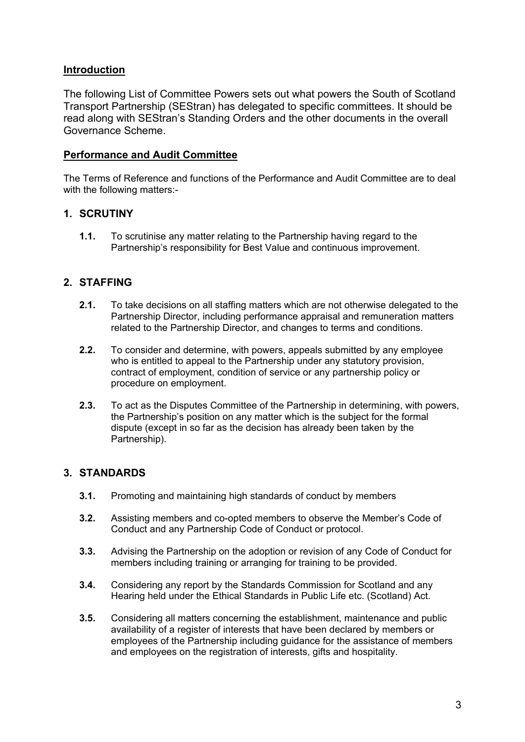#### **Introduction**

The following List of Committee Powers sets out what powers the South of Scotland Transport Partnership (SEStran) has delegated to specific committees. It should be read along with SEStran's Standing Orders and the other documents in the overall Governance Scheme.

#### **Performance and Audit Committee**

The Terms of Reference and functions of the Performance and Audit Committee are to deal with the following matters:-

## **1. SCRUTINY**

**1.1.** To scrutinise any matter relating to the Partnership having regard to the Partnership's responsibility for Best Value and continuous improvement.

## **2. STAFFING**

- **2.1.** To take decisions on all staffing matters which are not otherwise delegated to the Partnership Director, including performance appraisal and remuneration matters related to the Partnership Director, and changes to terms and conditions.
- **2.2.** To consider and determine, with powers, appeals submitted by any employee who is entitled to appeal to the Partnership under any statutory provision. contract of employment, condition of service or any partnership policy or procedure on employment.
- **2.3.** To act as the Disputes Committee of the Partnership in determining, with powers, the Partnership's position on any matter which is the subject for the formal dispute (except in so far as the decision has already been taken by the Partnership).

## **3. STANDARDS**

- **3.1.** Promoting and maintaining high standards of conduct by members
- **3.2.** Assisting members and co-opted members to observe the Member's Code of Conduct and any Partnership Code of Conduct or protocol.
- **3.3.** Advising the Partnership on the adoption or revision of any Code of Conduct for members including training or arranging for training to be provided.
- **3.4.** Considering any report by the Standards Commission for Scotland and any Hearing held under the Ethical Standards in Public Life etc. (Scotland) Act.
- **3.5.** Considering all matters concerning the establishment, maintenance and public availability of a register of interests that have been declared by members or employees of the Partnership including guidance for the assistance of members and employees on the registration of interests, gifts and hospitality.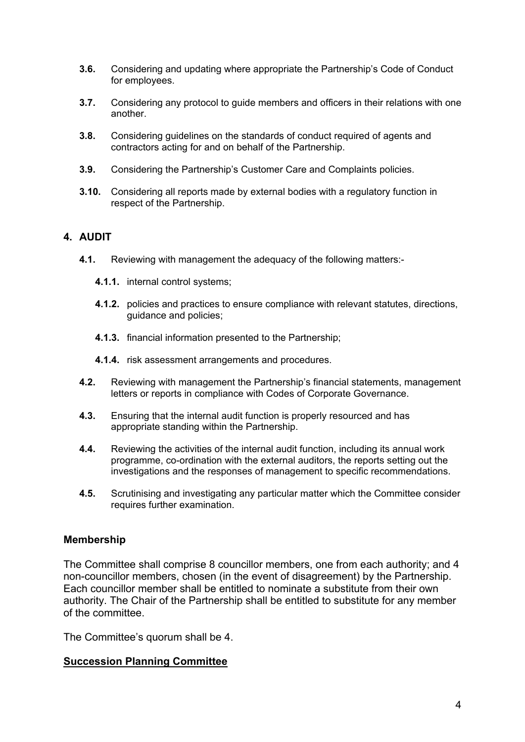- **3.6.** Considering and updating where appropriate the Partnership's Code of Conduct for employees.
- **3.7.** Considering any protocol to guide members and officers in their relations with one another.
- **3.8.** Considering guidelines on the standards of conduct required of agents and contractors acting for and on behalf of the Partnership.
- **3.9.** Considering the Partnership's Customer Care and Complaints policies.
- **3.10.** Considering all reports made by external bodies with a regulatory function in respect of the Partnership.

#### **4. AUDIT**

- **4.1.** Reviewing with management the adequacy of the following matters:-
	- **4.1.1.** internal control systems;
	- **4.1.2.** policies and practices to ensure compliance with relevant statutes, directions, guidance and policies;
	- **4.1.3.** financial information presented to the Partnership;
	- **4.1.4.** risk assessment arrangements and procedures.
- **4.2.** Reviewing with management the Partnership's financial statements, management letters or reports in compliance with Codes of Corporate Governance.
- **4.3.** Ensuring that the internal audit function is properly resourced and has appropriate standing within the Partnership.
- **4.4.** Reviewing the activities of the internal audit function, including its annual work programme, co-ordination with the external auditors, the reports setting out the investigations and the responses of management to specific recommendations.
- **4.5.** Scrutinising and investigating any particular matter which the Committee consider requires further examination.

#### **Membership**

The Committee shall comprise 8 councillor members, one from each authority; and 4 non-councillor members, chosen (in the event of disagreement) by the Partnership. Each councillor member shall be entitled to nominate a substitute from their own authority. The Chair of the Partnership shall be entitled to substitute for any member of the committee.

The Committee's quorum shall be 4.

#### **Succession Planning Committee**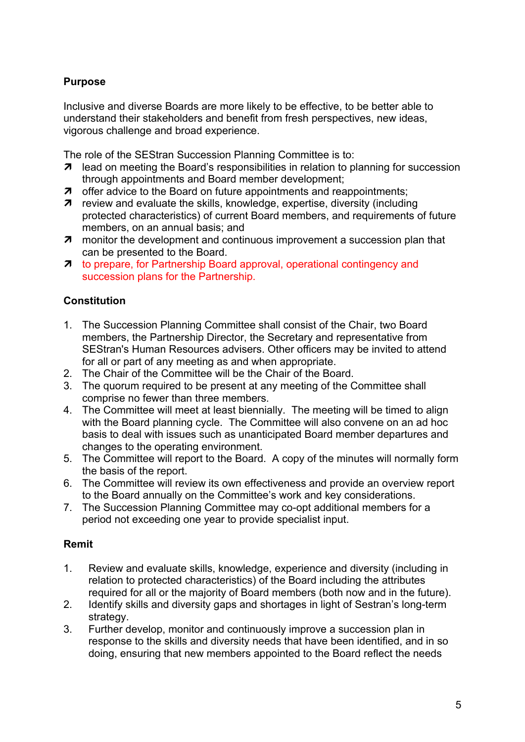## **Purpose**

Inclusive and diverse Boards are more likely to be effective, to be better able to understand their stakeholders and benefit from fresh perspectives, new ideas, vigorous challenge and broad experience.

The role of the SEStran Succession Planning Committee is to:

- **7** lead on meeting the Board's responsibilities in relation to planning for succession through appointments and Board member development;
- $\pi$  offer advice to the Board on future appointments and reappointments;
- **7** review and evaluate the skills, knowledge, expertise, diversity (including protected characteristics) of current Board members, and requirements of future members, on an annual basis; and
- **7** monitor the development and continuous improvement a succession plan that can be presented to the Board.
- **7** to prepare, for Partnership Board approval, operational contingency and succession plans for the Partnership.

## **Constitution**

- 1. The Succession Planning Committee shall consist of the Chair, two Board members, the Partnership Director, the Secretary and representative from SEStran's Human Resources advisers. Other officers may be invited to attend for all or part of any meeting as and when appropriate.
- 2. The Chair of the Committee will be the Chair of the Board.
- 3. The quorum required to be present at any meeting of the Committee shall comprise no fewer than three members.
- 4. The Committee will meet at least biennially. The meeting will be timed to align with the Board planning cycle. The Committee will also convene on an ad hoc basis to deal with issues such as unanticipated Board member departures and changes to the operating environment.
- 5. The Committee will report to the Board. A copy of the minutes will normally form the basis of the report.
- 6. The Committee will review its own effectiveness and provide an overview report to the Board annually on the Committee's work and key considerations.
- 7. The Succession Planning Committee may co-opt additional members for a period not exceeding one year to provide specialist input.

## **Remit**

- 1. Review and evaluate skills, knowledge, experience and diversity (including in relation to protected characteristics) of the Board including the attributes required for all or the majority of Board members (both now and in the future).
- 2. Identify skills and diversity gaps and shortages in light of Sestran's long-term strategy.
- 3. Further develop, monitor and continuously improve a succession plan in response to the skills and diversity needs that have been identified, and in so doing, ensuring that new members appointed to the Board reflect the needs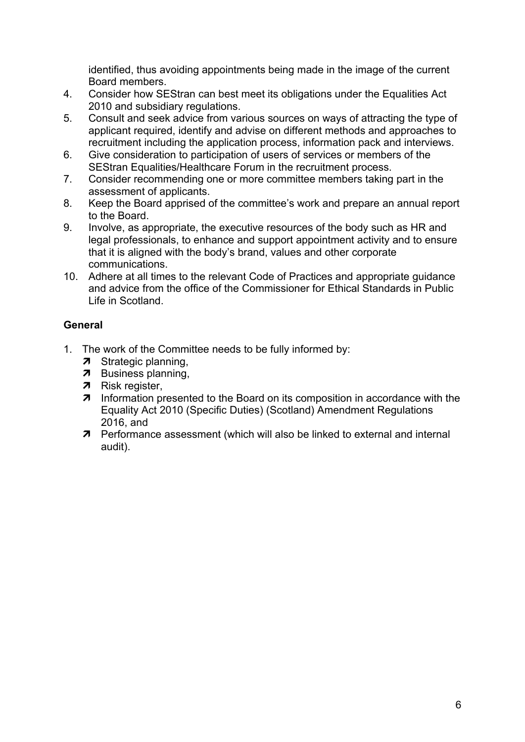identified, thus avoiding appointments being made in the image of the current Board members.

- 4. Consider how SEStran can best meet its obligations under the Equalities Act 2010 and subsidiary regulations.
- 5. Consult and seek advice from various sources on ways of attracting the type of applicant required, identify and advise on different methods and approaches to recruitment including the application process, information pack and interviews.
- 6. Give consideration to participation of users of services or members of the SEStran Equalities/Healthcare Forum in the recruitment process.
- 7. Consider recommending one or more committee members taking part in the assessment of applicants.
- 8. Keep the Board apprised of the committee's work and prepare an annual report to the Board.
- 9. Involve, as appropriate, the executive resources of the body such as HR and legal professionals, to enhance and support appointment activity and to ensure that it is aligned with the body's brand, values and other corporate communications.
- 10. Adhere at all times to the relevant Code of Practices and appropriate guidance and advice from the office of the Commissioner for Ethical Standards in Public Life in Scotland.

## **General**

- 1. The work of the Committee needs to be fully informed by:
	- 7 Strategic planning,
	- **7** Business planning,
	- **7** Risk register,
	- **7** Information presented to the Board on its composition in accordance with the Equality Act 2010 (Specific Duties) (Scotland) Amendment Regulations 2016, and
	- **7** Performance assessment (which will also be linked to external and internal audit).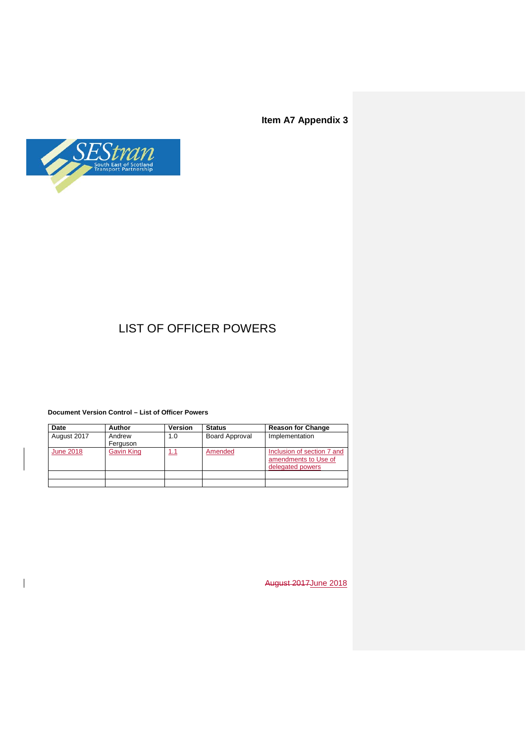**Item A7 Appendix 3**



# LIST OF OFFICER POWERS

#### **Document Version Control – List of Officer Powers**

 $\overline{\phantom{a}}$ 

| Date             | <b>Author</b>      | Version | <b>Status</b>         | <b>Reason for Change</b>                                               |
|------------------|--------------------|---------|-----------------------|------------------------------------------------------------------------|
| August 2017      | Andrew<br>Ferguson | 1.0     | <b>Board Approval</b> | Implementation                                                         |
| <b>June 2018</b> | <b>Gavin King</b>  | 1.1     | Amended               | Inclusion of section 7 and<br>amendments to Use of<br>delegated powers |
|                  |                    |         |                       |                                                                        |
|                  |                    |         |                       |                                                                        |

August 2017June 2018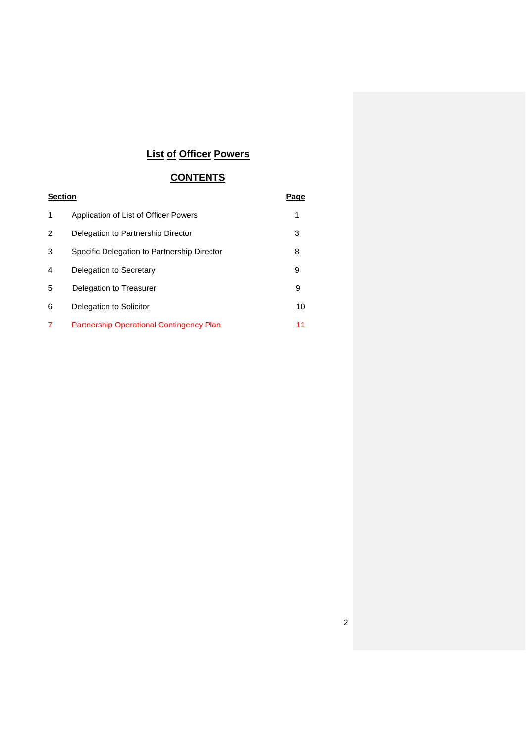# **List of Officer Powers**

## **CONTENTS**

| <b>Section</b> |                                                 | Page |
|----------------|-------------------------------------------------|------|
| 1              | Application of List of Officer Powers           | 1    |
| 2              | Delegation to Partnership Director              | 3    |
| 3              | Specific Delegation to Partnership Director     | 8    |
| 4              | Delegation to Secretary                         | 9    |
| 5              | Delegation to Treasurer                         | 9    |
| 6              | Delegation to Solicitor                         | 10   |
|                | <b>Partnership Operational Contingency Plan</b> | 11   |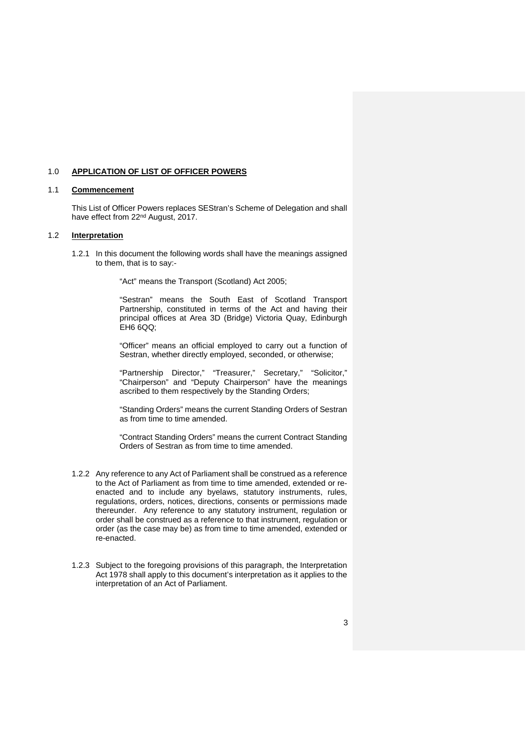#### 1.0 **APPLICATION OF LIST OF OFFICER POWERS**

#### 1.1 **Commencement**

This List of Officer Powers replaces SEStran's Scheme of Delegation and shall have effect from 22nd August, 2017.

#### 1.2 **Interpretation**

1.2.1 In this document the following words shall have the meanings assigned to them, that is to say:-

"Act" means the Transport (Scotland) Act 2005;

"Sestran" means the South East of Scotland Transport Partnership, constituted in terms of the Act and having their principal offices at Area 3D (Bridge) Victoria Quay, Edinburgh EH6 6QQ;

"Officer" means an official employed to carry out a function of Sestran, whether directly employed, seconded, or otherwise;

"Partnership Director," "Treasurer," Secretary," "Solicitor," "Chairperson" and "Deputy Chairperson" have the meanings ascribed to them respectively by the Standing Orders;

"Standing Orders" means the current Standing Orders of Sestran as from time to time amended.

"Contract Standing Orders" means the current Contract Standing Orders of Sestran as from time to time amended.

- 1.2.2 Any reference to any Act of Parliament shall be construed as a reference to the Act of Parliament as from time to time amended, extended or reenacted and to include any byelaws, statutory instruments, rules, regulations, orders, notices, directions, consents or permissions made thereunder. Any reference to any statutory instrument, regulation or order shall be construed as a reference to that instrument, regulation or order (as the case may be) as from time to time amended, extended or re-enacted.
- 1.2.3 Subject to the foregoing provisions of this paragraph, the Interpretation Act 1978 shall apply to this document's interpretation as it applies to the interpretation of an Act of Parliament.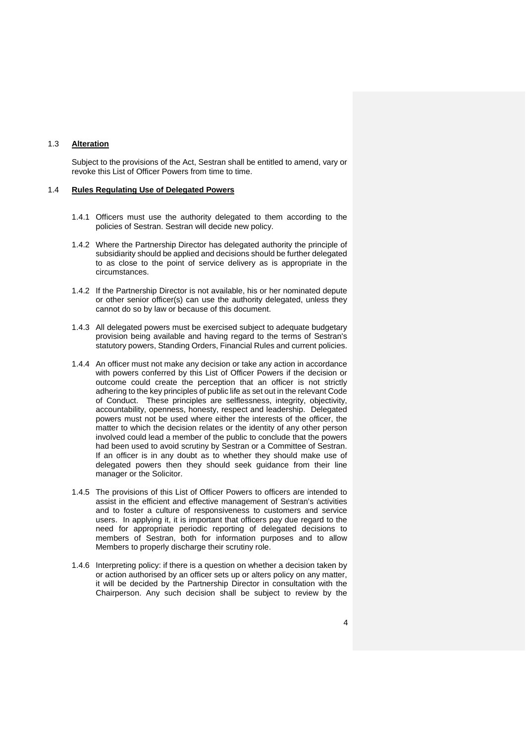#### 1.3 **Alteration**

Subject to the provisions of the Act, Sestran shall be entitled to amend, vary or revoke this List of Officer Powers from time to time.

#### 1.4 **Rules Regulating Use of Delegated Powers**

- 1.4.1 Officers must use the authority delegated to them according to the policies of Sestran. Sestran will decide new policy.
- 1.4.2 Where the Partnership Director has delegated authority the principle of subsidiarity should be applied and decisions should be further delegated to as close to the point of service delivery as is appropriate in the circumstances.
- 1.4.2 If the Partnership Director is not available, his or her nominated depute or other senior officer(s) can use the authority delegated, unless they cannot do so by law or because of this document.
- 1.4.3 All delegated powers must be exercised subject to adequate budgetary provision being available and having regard to the terms of Sestran's statutory powers, Standing Orders, Financial Rules and current policies.
- 1.4.4 An officer must not make any decision or take any action in accordance with powers conferred by this List of Officer Powers if the decision or outcome could create the perception that an officer is not strictly adhering to the key principles of public life as set out in the relevant Code of Conduct. These principles are selflessness, integrity, objectivity, accountability, openness, honesty, respect and leadership. Delegated powers must not be used where either the interests of the officer, the matter to which the decision relates or the identity of any other person involved could lead a member of the public to conclude that the powers had been used to avoid scrutiny by Sestran or a Committee of Sestran. If an officer is in any doubt as to whether they should make use of delegated powers then they should seek guidance from their line manager or the Solicitor.
- 1.4.5 The provisions of this List of Officer Powers to officers are intended to assist in the efficient and effective management of Sestran's activities and to foster a culture of responsiveness to customers and service users. In applying it, it is important that officers pay due regard to the need for appropriate periodic reporting of delegated decisions to members of Sestran, both for information purposes and to allow Members to properly discharge their scrutiny role.
- 1.4.6 Interpreting policy: if there is a question on whether a decision taken by or action authorised by an officer sets up or alters policy on any matter, it will be decided by the Partnership Director in consultation with the Chairperson. Any such decision shall be subject to review by the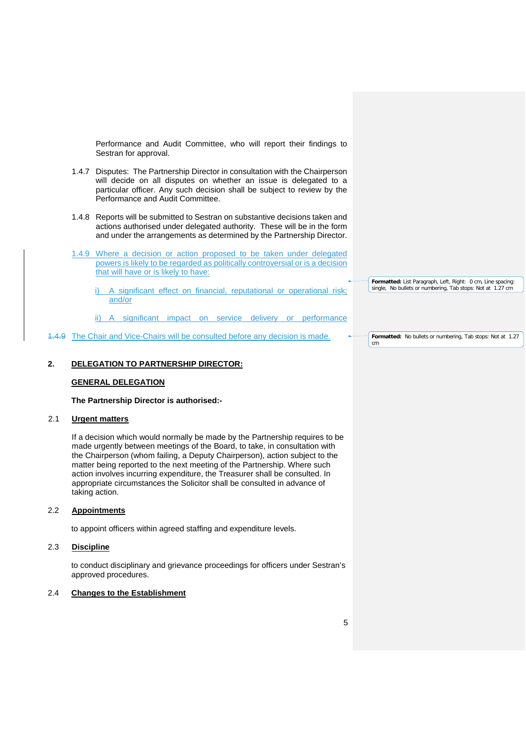Performance and Audit Committee, who will report their findings to Sestran for approval.

- 1.4.7 Disputes: The Partnership Director in consultation with the Chairperson will decide on all disputes on whether an issue is delegated to a particular officer. Any such decision shall be subject to review by the Performance and Audit Committee.
- 1.4.8 Reports will be submitted to Sestran on substantive decisions taken and actions authorised under delegated authority. These will be in the form and under the arrangements as determined by the Partnership Director.
- 1.4.9 Where a decision or action proposed to be taken under delegated powers is likely to be regarded as politically controversial or is a decision that will have or is likely to have:
	- i) A significant effect on financial, reputational or operational risk; and/or
	- ii) A significant impact on service delivery or performance
- 1.4.9 The Chair and Vice-Chairs will be consulted before any decision is made.

#### **2. DELEGATION TO PARTNERSHIP DIRECTOR:**

#### **GENERAL DELEGATION**

#### **The Partnership Director is authorised:-**

#### 2.1 **Urgent matters**

If a decision which would normally be made by the Partnership requires to be made urgently between meetings of the Board, to take, in consultation with the Chairperson (whom failing, a Deputy Chairperson), action subject to the matter being reported to the next meeting of the Partnership. Where such action involves incurring expenditure, the Treasurer shall be consulted. In appropriate circumstances the Solicitor shall be consulted in advance of taking action.

#### 2.2 **Appointments**

to appoint officers within agreed staffing and expenditure levels.

#### 2.3 **Discipline**

to conduct disciplinary and grievance proceedings for officers under Sestran's approved procedures.

#### 2.4 **Changes to the Establishment**

**Formatted:** List Paragraph, Left, Right: 0 cm, Line spacing: single, No bullets or numbering, Tab stops: Not at 1.27 cm

**Formatted:** No bullets or numbering, Tab stops: Not at 1.27 cm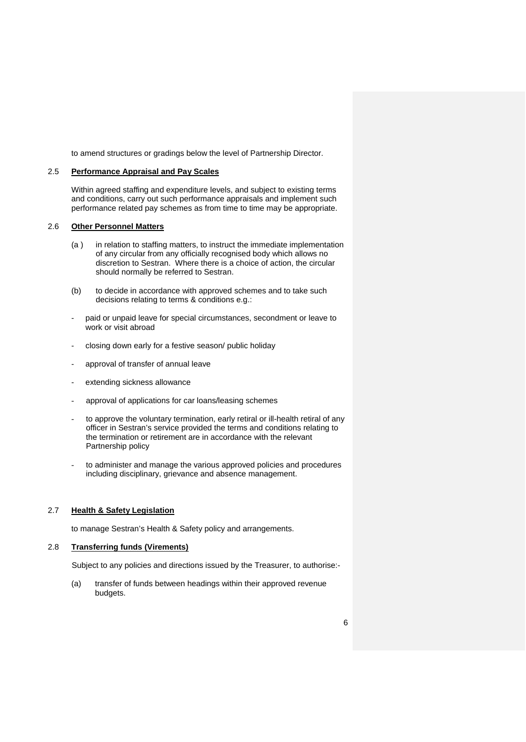to amend structures or gradings below the level of Partnership Director.

#### 2.5 **Performance Appraisal and Pay Scales**

Within agreed staffing and expenditure levels, and subject to existing terms and conditions, carry out such performance appraisals and implement such performance related pay schemes as from time to time may be appropriate.

#### 2.6 **Other Personnel Matters**

- (a ) in relation to staffing matters, to instruct the immediate implementation of any circular from any officially recognised body which allows no discretion to Sestran. Where there is a choice of action, the circular should normally be referred to Sestran.
- (b) to decide in accordance with approved schemes and to take such decisions relating to terms & conditions e.g.:
- paid or unpaid leave for special circumstances, secondment or leave to work or visit abroad
- closing down early for a festive season/ public holiday
- approval of transfer of annual leave
- extending sickness allowance
- approval of applications for car loans/leasing schemes
- to approve the voluntary termination, early retiral or ill-health retiral of any officer in Sestran's service provided the terms and conditions relating to the termination or retirement are in accordance with the relevant Partnership policy
- to administer and manage the various approved policies and procedures including disciplinary, grievance and absence management.

#### 2.7 **Health & Safety Legislation**

to manage Sestran's Health & Safety policy and arrangements.

#### 2.8 **Transferring funds (Virements)**

Subject to any policies and directions issued by the Treasurer, to authorise:-

(a) transfer of funds between headings within their approved revenue budgets.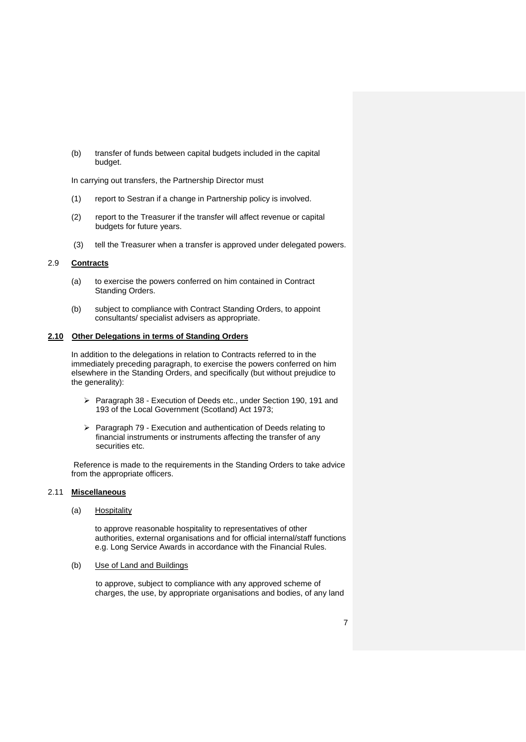(b) transfer of funds between capital budgets included in the capital budget.

In carrying out transfers, the Partnership Director must

- (1) report to Sestran if a change in Partnership policy is involved.
- (2) report to the Treasurer if the transfer will affect revenue or capital budgets for future years.
- (3) tell the Treasurer when a transfer is approved under delegated powers.

#### 2.9 **Contracts**

- (a) to exercise the powers conferred on him contained in Contract Standing Orders.
- (b) subject to compliance with Contract Standing Orders, to appoint consultants/ specialist advisers as appropriate.

#### **2.10 Other Delegations in terms of Standing Orders**

In addition to the delegations in relation to Contracts referred to in the immediately preceding paragraph, to exercise the powers conferred on him elsewhere in the Standing Orders, and specifically (but without prejudice to the generality):

- Paragraph 38 Execution of Deeds etc., under Section 190, 191 and 193 of the Local Government (Scotland) Act 1973;
- $\triangleright$  Paragraph 79 Execution and authentication of Deeds relating to financial instruments or instruments affecting the transfer of any securities etc.

Reference is made to the requirements in the Standing Orders to take advice from the appropriate officers.

#### 2.11 **Miscellaneous**

(a) Hospitality

to approve reasonable hospitality to representatives of other authorities, external organisations and for official internal/staff functions e.g. Long Service Awards in accordance with the Financial Rules.

(b) Use of Land and Buildings

to approve, subject to compliance with any approved scheme of charges, the use, by appropriate organisations and bodies, of any land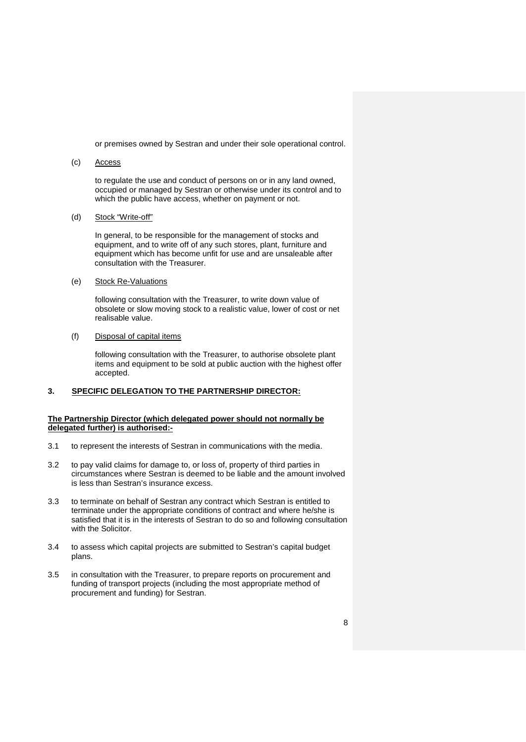or premises owned by Sestran and under their sole operational control.

#### (c) Access

to regulate the use and conduct of persons on or in any land owned, occupied or managed by Sestran or otherwise under its control and to which the public have access, whether on payment or not.

(d) Stock "Write-off"

In general, to be responsible for the management of stocks and equipment, and to write off of any such stores, plant, furniture and equipment which has become unfit for use and are unsaleable after consultation with the Treasurer.

(e) Stock Re-Valuations

following consultation with the Treasurer, to write down value of obsolete or slow moving stock to a realistic value, lower of cost or net realisable value.

(f) Disposal of capital items

following consultation with the Treasurer, to authorise obsolete plant items and equipment to be sold at public auction with the highest offer accepted.

#### **3. SPECIFIC DELEGATION TO THE PARTNERSHIP DIRECTOR:**

#### **The Partnership Director (which delegated power should not normally be delegated further) is authorised:-**

- 3.1 to represent the interests of Sestran in communications with the media.
- 3.2 to pay valid claims for damage to, or loss of, property of third parties in circumstances where Sestran is deemed to be liable and the amount involved is less than Sestran's insurance excess.
- 3.3 to terminate on behalf of Sestran any contract which Sestran is entitled to terminate under the appropriate conditions of contract and where he/she is satisfied that it is in the interests of Sestran to do so and following consultation with the Solicitor.
- 3.4 to assess which capital projects are submitted to Sestran's capital budget plans.
- 3.5 in consultation with the Treasurer, to prepare reports on procurement and funding of transport projects (including the most appropriate method of procurement and funding) for Sestran.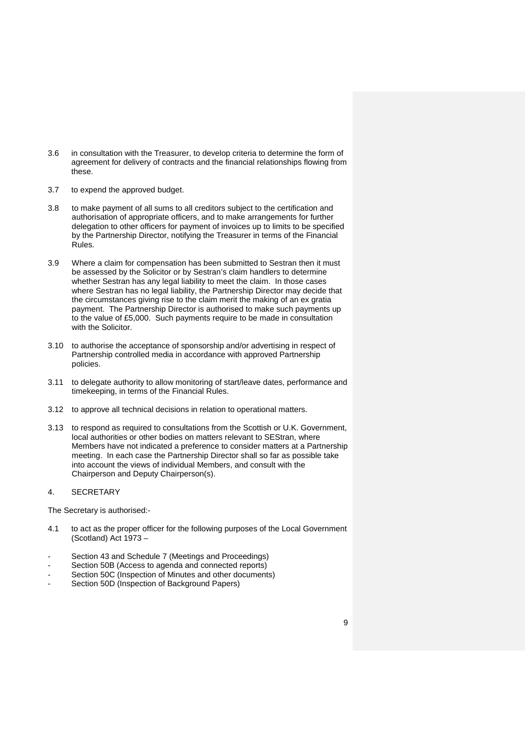- 3.6 in consultation with the Treasurer, to develop criteria to determine the form of agreement for delivery of contracts and the financial relationships flowing from these.
- 3.7 to expend the approved budget.
- 3.8 to make payment of all sums to all creditors subject to the certification and authorisation of appropriate officers, and to make arrangements for further delegation to other officers for payment of invoices up to limits to be specified by the Partnership Director, notifying the Treasurer in terms of the Financial Rules.
- 3.9 Where a claim for compensation has been submitted to Sestran then it must be assessed by the Solicitor or by Sestran's claim handlers to determine whether Sestran has any legal liability to meet the claim. In those cases where Sestran has no legal liability, the Partnership Director may decide that the circumstances giving rise to the claim merit the making of an ex gratia payment. The Partnership Director is authorised to make such payments up to the value of £5,000. Such payments require to be made in consultation with the Solicitor.
- 3.10 to authorise the acceptance of sponsorship and/or advertising in respect of Partnership controlled media in accordance with approved Partnership policies.
- 3.11 to delegate authority to allow monitoring of start/leave dates, performance and timekeeping, in terms of the Financial Rules.
- 3.12 to approve all technical decisions in relation to operational matters.
- 3.13 to respond as required to consultations from the Scottish or U.K. Government, local authorities or other bodies on matters relevant to SEStran, where Members have not indicated a preference to consider matters at a Partnership meeting. In each case the Partnership Director shall so far as possible take into account the views of individual Members, and consult with the Chairperson and Deputy Chairperson(s).

#### 4. SECRETARY

The Secretary is authorised:-

- 4.1 to act as the proper officer for the following purposes of the Local Government (Scotland) Act 1973 –
- Section 43 and Schedule 7 (Meetings and Proceedings)
- Section 50B (Access to agenda and connected reports)
- Section 50C (Inspection of Minutes and other documents)
- Section 50D (Inspection of Background Papers)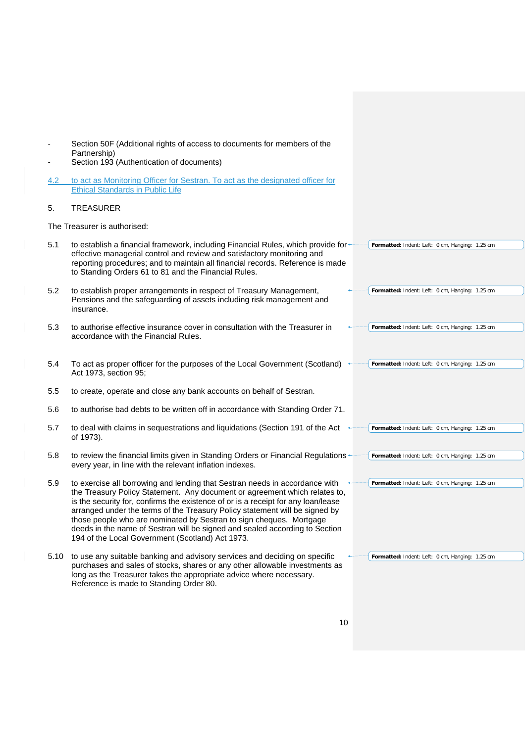- Section 50F (Additional rights of access to documents for members of the Partnership)
- Section 193 (Authentication of documents)
- 4.2 to act as Monitoring Officer for Sestran. To act as the designated officer for Ethical Standards in Public Life

#### 5. TREASURER

 $\overline{\phantom{a}}$ 

 $\overline{\phantom{a}}$ 

 $\overline{\phantom{a}}$ 

 $\overline{\phantom{a}}$ 

 $\overline{\phantom{a}}$ 

 $\overline{\phantom{a}}$ 

 $\overline{\phantom{a}}$ 

 $\overline{\phantom{a}}$ 

The Treasurer is authorised:

| 5.1  | to establish a financial framework, including Financial Rules, which provide for +<br>effective managerial control and review and satisfactory monitoring and<br>reporting procedures; and to maintain all financial records. Reference is made<br>to Standing Orders 61 to 81 and the Financial Rules.                                                                                                                                                                                                                                 | Formatted: Indent: Left: 0 cm, Hanging: 1.25 cm |
|------|-----------------------------------------------------------------------------------------------------------------------------------------------------------------------------------------------------------------------------------------------------------------------------------------------------------------------------------------------------------------------------------------------------------------------------------------------------------------------------------------------------------------------------------------|-------------------------------------------------|
| 5.2  | to establish proper arrangements in respect of Treasury Management,<br>Pensions and the safeguarding of assets including risk management and<br>insurance.                                                                                                                                                                                                                                                                                                                                                                              | Formatted: Indent: Left: 0 cm, Hanging: 1.25 cm |
| 5.3  | to authorise effective insurance cover in consultation with the Treasurer in<br>accordance with the Financial Rules.                                                                                                                                                                                                                                                                                                                                                                                                                    | Formatted: Indent: Left: 0 cm, Hanging: 1.25 cm |
| 5.4  | To act as proper officer for the purposes of the Local Government (Scotland) $\leftrightarrow$<br>Act 1973, section 95;                                                                                                                                                                                                                                                                                                                                                                                                                 | Formatted: Indent: Left: 0 cm, Hanging: 1.25 cm |
| 5.5  | to create, operate and close any bank accounts on behalf of Sestran.                                                                                                                                                                                                                                                                                                                                                                                                                                                                    |                                                 |
| 5.6  | to authorise bad debts to be written off in accordance with Standing Order 71.                                                                                                                                                                                                                                                                                                                                                                                                                                                          |                                                 |
| 5.7  | to deal with claims in sequestrations and liquidations (Section 191 of the Act<br>of 1973).                                                                                                                                                                                                                                                                                                                                                                                                                                             | Formatted: Indent: Left: 0 cm, Hanging: 1.25 cm |
| 5.8  | to review the financial limits given in Standing Orders or Financial Regulations<br>every year, in line with the relevant inflation indexes.                                                                                                                                                                                                                                                                                                                                                                                            | Formatted: Indent: Left: 0 cm, Hanging: 1.25 cm |
| 5.9  | to exercise all borrowing and lending that Sestran needs in accordance with<br>the Treasury Policy Statement. Any document or agreement which relates to,<br>is the security for, confirms the existence of or is a receipt for any loan/lease<br>arranged under the terms of the Treasury Policy statement will be signed by<br>those people who are nominated by Sestran to sign cheques. Mortgage<br>deeds in the name of Sestran will be signed and sealed according to Section<br>194 of the Local Government (Scotland) Act 1973. | Formatted: Indent: Left: 0 cm, Hanging: 1.25 cm |
| 5.10 | to use any suitable banking and advisory services and deciding on specific<br>purchases and sales of stocks, shares or any other allowable investments as<br>long as the Treasurer takes the appropriate advice where necessary.<br>Reference is made to Standing Order 80.                                                                                                                                                                                                                                                             | Formatted: Indent: Left: 0 cm, Hanging: 1.25 cm |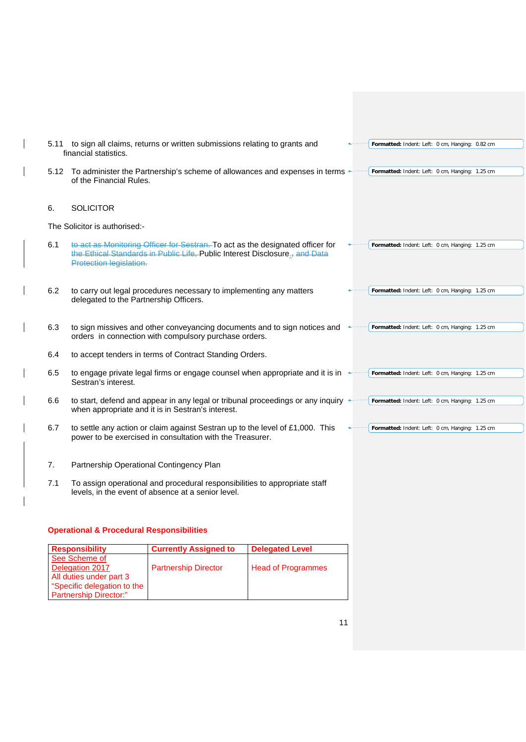|     | 5.11 to sign all claims, returns or written submissions relating to grants and<br>financial statistics.                                                                                             | Formatted: Indent: Left: 0 cm, Hanging: 0.82 cm |
|-----|-----------------------------------------------------------------------------------------------------------------------------------------------------------------------------------------------------|-------------------------------------------------|
|     | 5.12 To administer the Partnership's scheme of allowances and expenses in terms<br>of the Financial Rules.                                                                                          | Formatted: Indent: Left: 0 cm, Hanging: 1.25 cm |
| 6.  | <b>SOLICITOR</b>                                                                                                                                                                                    |                                                 |
|     | The Solicitor is authorised:-                                                                                                                                                                       |                                                 |
| 6.1 | to act as Monitoring Officer for Sestran. To act as the designated officer for<br>the Ethical Standards in Public Life, Public Interest Disclosure <sub>5</sub> and Data<br>Protection legislation. | Formatted: Indent: Left: 0 cm, Hanging: 1.25 cm |
| 6.2 | to carry out legal procedures necessary to implementing any matters<br>delegated to the Partnership Officers.                                                                                       | Formatted: Indent: Left: 0 cm, Hanging: 1.25 cm |
| 6.3 | to sign missives and other conveyancing documents and to sign notices and<br>orders in connection with compulsory purchase orders.                                                                  | Formatted: Indent: Left: 0 cm, Hanging: 1.25 cm |
| 6.4 | to accept tenders in terms of Contract Standing Orders.                                                                                                                                             |                                                 |
| 6.5 | to engage private legal firms or engage counsel when appropriate and it is in +<br>Sestran's interest.                                                                                              | Formatted: Indent: Left: 0 cm, Hanging: 1.25 cm |
| 6.6 | to start, defend and appear in any legal or tribunal proceedings or any inquiry $\triangleleft$<br>when appropriate and it is in Sestran's interest.                                                | Formatted: Indent: Left: 0 cm, Hanging: 1.25 cm |
| 6.7 | to settle any action or claim against Sestran up to the level of £1,000. This<br>power to be exercised in consultation with the Treasurer.                                                          | Formatted: Indent: Left: 0 cm, Hanging: 1.25 cm |
| 7.  | Partnership Operational Contingency Plan                                                                                                                                                            |                                                 |

7.1 To assign operational and procedural responsibilities to appropriate staff levels, in the event of absence at a senior level.

#### **Operational & Procedural Responsibilities**

 $\overline{\phantom{a}}$ 

 $\overline{\phantom{a}}$ 

 $\overline{\phantom{a}}$ 

 $\overline{\phantom{a}}$ 

 $\overline{\phantom{a}}$ 

 $\overline{\phantom{a}}$ 

| <b>Responsibility</b>         | <b>Currently Assigned to</b> | <b>Delegated Level</b>    |
|-------------------------------|------------------------------|---------------------------|
| See Scheme of                 |                              |                           |
| Delegation 2017               | <b>Partnership Director</b>  | <b>Head of Programmes</b> |
| All duties under part 3       |                              |                           |
| "Specific delegation to the   |                              |                           |
| <b>Partnership Director:"</b> |                              |                           |